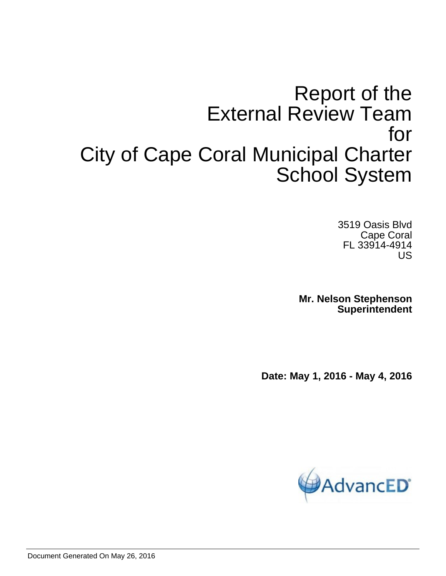# Report of the External Review Team for City of Cape Coral Municipal Charter School System

3519 Oasis Blvd Cape Coral FL 33914-4914 US

**Mr. Nelson Stephenson Superintendent**

**Date: May 1, 2016 - May 4, 2016**

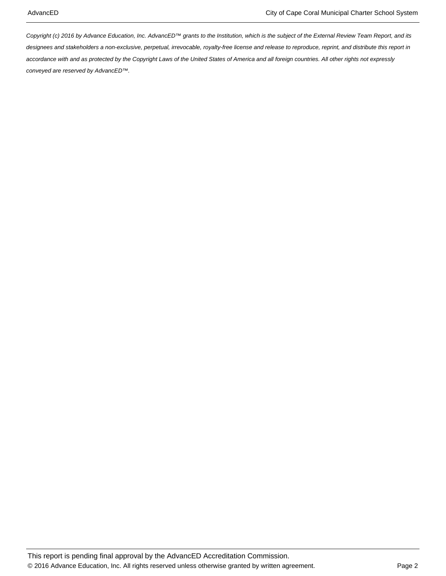Copyright (c) 2016 by Advance Education, Inc. AdvancED™ grants to the Institution, which is the subject of the External Review Team Report, and its designees and stakeholders a non-exclusive, perpetual, irrevocable, royalty-free license and release to reproduce, reprint, and distribute this report in accordance with and as protected by the Copyright Laws of the United States of America and all foreign countries. All other rights not expressly conveyed are reserved by AdvancED™.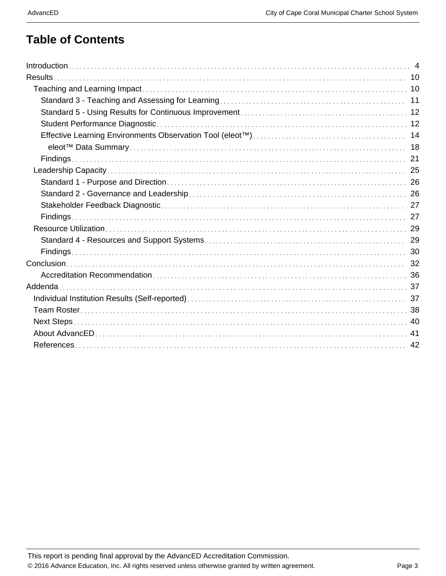### **Table of Contents**

| Results. |    |
|----------|----|
|          |    |
|          |    |
|          |    |
|          |    |
|          |    |
|          |    |
|          |    |
|          |    |
|          |    |
|          |    |
|          |    |
|          |    |
|          |    |
|          |    |
|          |    |
|          |    |
|          |    |
|          |    |
|          |    |
|          |    |
|          |    |
|          |    |
|          | 42 |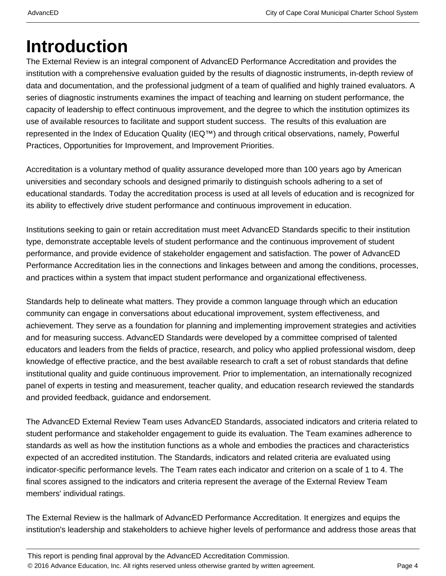# **Introduction**

The External Review is an integral component of AdvancED Performance Accreditation and provides the institution with a comprehensive evaluation guided by the results of diagnostic instruments, in-depth review of data and documentation, and the professional judgment of a team of qualified and highly trained evaluators. A series of diagnostic instruments examines the impact of teaching and learning on student performance, the capacity of leadership to effect continuous improvement, and the degree to which the institution optimizes its use of available resources to facilitate and support student success. The results of this evaluation are represented in the Index of Education Quality (IEQ™) and through critical observations, namely, Powerful Practices, Opportunities for Improvement, and Improvement Priorities.

Accreditation is a voluntary method of quality assurance developed more than 100 years ago by American universities and secondary schools and designed primarily to distinguish schools adhering to a set of educational standards. Today the accreditation process is used at all levels of education and is recognized for its ability to effectively drive student performance and continuous improvement in education.

Institutions seeking to gain or retain accreditation must meet AdvancED Standards specific to their institution type, demonstrate acceptable levels of student performance and the continuous improvement of student performance, and provide evidence of stakeholder engagement and satisfaction. The power of AdvancED Performance Accreditation lies in the connections and linkages between and among the conditions, processes, and practices within a system that impact student performance and organizational effectiveness.

Standards help to delineate what matters. They provide a common language through which an education community can engage in conversations about educational improvement, system effectiveness, and achievement. They serve as a foundation for planning and implementing improvement strategies and activities and for measuring success. AdvancED Standards were developed by a committee comprised of talented educators and leaders from the fields of practice, research, and policy who applied professional wisdom, deep knowledge of effective practice, and the best available research to craft a set of robust standards that define institutional quality and guide continuous improvement. Prior to implementation, an internationally recognized panel of experts in testing and measurement, teacher quality, and education research reviewed the standards and provided feedback, guidance and endorsement.

The AdvancED External Review Team uses AdvancED Standards, associated indicators and criteria related to student performance and stakeholder engagement to guide its evaluation. The Team examines adherence to standards as well as how the institution functions as a whole and embodies the practices and characteristics expected of an accredited institution. The Standards, indicators and related criteria are evaluated using indicator-specific performance levels. The Team rates each indicator and criterion on a scale of 1 to 4. The final scores assigned to the indicators and criteria represent the average of the External Review Team members' individual ratings.

The External Review is the hallmark of AdvancED Performance Accreditation. It energizes and equips the institution's leadership and stakeholders to achieve higher levels of performance and address those areas that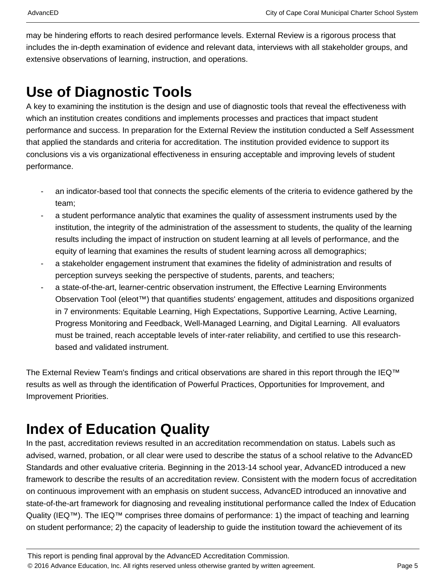may be hindering efforts to reach desired performance levels. External Review is a rigorous process that includes the in-depth examination of evidence and relevant data, interviews with all stakeholder groups, and extensive observations of learning, instruction, and operations.

## **Use of Diagnostic Tools**

A key to examining the institution is the design and use of diagnostic tools that reveal the effectiveness with which an institution creates conditions and implements processes and practices that impact student performance and success. In preparation for the External Review the institution conducted a Self Assessment that applied the standards and criteria for accreditation. The institution provided evidence to support its conclusions vis a vis organizational effectiveness in ensuring acceptable and improving levels of student performance.

- an indicator-based tool that connects the specific elements of the criteria to evidence gathered by the team;
- a student performance analytic that examines the quality of assessment instruments used by the institution, the integrity of the administration of the assessment to students, the quality of the learning results including the impact of instruction on student learning at all levels of performance, and the equity of learning that examines the results of student learning across all demographics;
- a stakeholder engagement instrument that examines the fidelity of administration and results of perception surveys seeking the perspective of students, parents, and teachers;
- a state-of-the-art, learner-centric observation instrument, the Effective Learning Environments Observation Tool (eleot™) that quantifies students' engagement, attitudes and dispositions organized in 7 environments: Equitable Learning, High Expectations, Supportive Learning, Active Learning, Progress Monitoring and Feedback, Well-Managed Learning, and Digital Learning. All evaluators must be trained, reach acceptable levels of inter-rater reliability, and certified to use this researchbased and validated instrument.

The External Review Team's findings and critical observations are shared in this report through the IEQ™ results as well as through the identification of Powerful Practices, Opportunities for Improvement, and Improvement Priorities.

## **Index of Education Quality**

In the past, accreditation reviews resulted in an accreditation recommendation on status. Labels such as advised, warned, probation, or all clear were used to describe the status of a school relative to the AdvancED Standards and other evaluative criteria. Beginning in the 2013-14 school year, AdvancED introduced a new framework to describe the results of an accreditation review. Consistent with the modern focus of accreditation on continuous improvement with an emphasis on student success, AdvancED introduced an innovative and state-of-the-art framework for diagnosing and revealing institutional performance called the Index of Education Quality (IEQ™). The IEQ™ comprises three domains of performance: 1) the impact of teaching and learning on student performance; 2) the capacity of leadership to guide the institution toward the achievement of its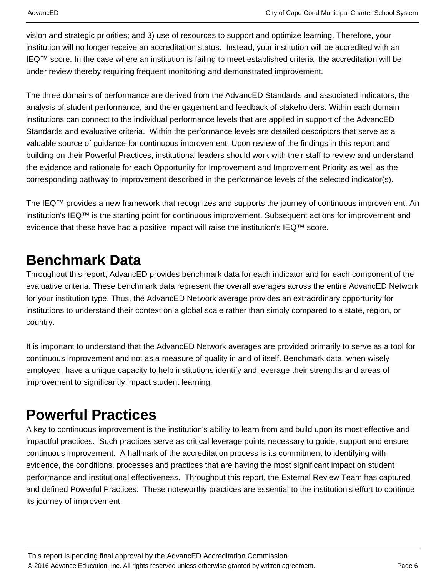vision and strategic priorities; and 3) use of resources to support and optimize learning. Therefore, your institution will no longer receive an accreditation status. Instead, your institution will be accredited with an IEQ™ score. In the case where an institution is failing to meet established criteria, the accreditation will be under review thereby requiring frequent monitoring and demonstrated improvement.

The three domains of performance are derived from the AdvancED Standards and associated indicators, the analysis of student performance, and the engagement and feedback of stakeholders. Within each domain institutions can connect to the individual performance levels that are applied in support of the AdvancED Standards and evaluative criteria. Within the performance levels are detailed descriptors that serve as a valuable source of guidance for continuous improvement. Upon review of the findings in this report and building on their Powerful Practices, institutional leaders should work with their staff to review and understand the evidence and rationale for each Opportunity for Improvement and Improvement Priority as well as the corresponding pathway to improvement described in the performance levels of the selected indicator(s).

The IEQ™ provides a new framework that recognizes and supports the journey of continuous improvement. An institution's IEQ™ is the starting point for continuous improvement. Subsequent actions for improvement and evidence that these have had a positive impact will raise the institution's IEQ™ score.

## **Benchmark Data**

Throughout this report, AdvancED provides benchmark data for each indicator and for each component of the evaluative criteria. These benchmark data represent the overall averages across the entire AdvancED Network for your institution type. Thus, the AdvancED Network average provides an extraordinary opportunity for institutions to understand their context on a global scale rather than simply compared to a state, region, or country.

It is important to understand that the AdvancED Network averages are provided primarily to serve as a tool for continuous improvement and not as a measure of quality in and of itself. Benchmark data, when wisely employed, have a unique capacity to help institutions identify and leverage their strengths and areas of improvement to significantly impact student learning.

## **Powerful Practices**

A key to continuous improvement is the institution's ability to learn from and build upon its most effective and impactful practices. Such practices serve as critical leverage points necessary to guide, support and ensure continuous improvement. A hallmark of the accreditation process is its commitment to identifying with evidence, the conditions, processes and practices that are having the most significant impact on student performance and institutional effectiveness. Throughout this report, the External Review Team has captured and defined Powerful Practices. These noteworthy practices are essential to the institution's effort to continue its journey of improvement.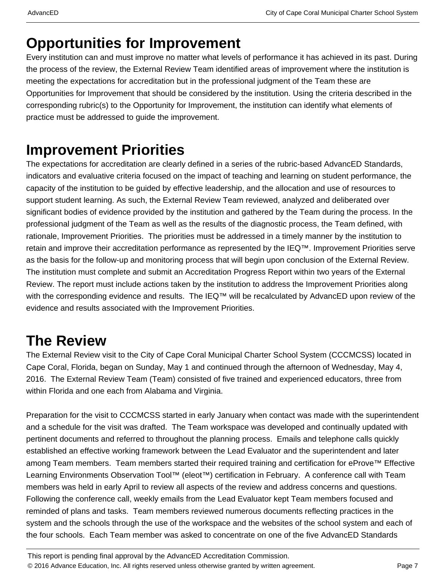## **Opportunities for Improvement**

Every institution can and must improve no matter what levels of performance it has achieved in its past. During the process of the review, the External Review Team identified areas of improvement where the institution is meeting the expectations for accreditation but in the professional judgment of the Team these are Opportunities for Improvement that should be considered by the institution. Using the criteria described in the corresponding rubric(s) to the Opportunity for Improvement, the institution can identify what elements of practice must be addressed to guide the improvement.

## **Improvement Priorities**

The expectations for accreditation are clearly defined in a series of the rubric-based AdvancED Standards, indicators and evaluative criteria focused on the impact of teaching and learning on student performance, the capacity of the institution to be guided by effective leadership, and the allocation and use of resources to support student learning. As such, the External Review Team reviewed, analyzed and deliberated over significant bodies of evidence provided by the institution and gathered by the Team during the process. In the professional judgment of the Team as well as the results of the diagnostic process, the Team defined, with rationale, Improvement Priorities. The priorities must be addressed in a timely manner by the institution to retain and improve their accreditation performance as represented by the IEQ™. Improvement Priorities serve as the basis for the follow-up and monitoring process that will begin upon conclusion of the External Review. The institution must complete and submit an Accreditation Progress Report within two years of the External Review. The report must include actions taken by the institution to address the Improvement Priorities along with the corresponding evidence and results. The IEQ™ will be recalculated by AdvancED upon review of the evidence and results associated with the Improvement Priorities.

## **The Review**

The External Review visit to the City of Cape Coral Municipal Charter School System (CCCMCSS) located in Cape Coral, Florida, began on Sunday, May 1 and continued through the afternoon of Wednesday, May 4, 2016. The External Review Team (Team) consisted of five trained and experienced educators, three from within Florida and one each from Alabama and Virginia.

Preparation for the visit to CCCMCSS started in early January when contact was made with the superintendent and a schedule for the visit was drafted. The Team workspace was developed and continually updated with pertinent documents and referred to throughout the planning process. Emails and telephone calls quickly established an effective working framework between the Lead Evaluator and the superintendent and later among Team members. Team members started their required training and certification for eProve™ Effective Learning Environments Observation Tool<sup>™</sup> (eleot<sup>™</sup>) certification in February. A conference call with Team members was held in early April to review all aspects of the review and address concerns and questions. Following the conference call, weekly emails from the Lead Evaluator kept Team members focused and reminded of plans and tasks. Team members reviewed numerous documents reflecting practices in the system and the schools through the use of the workspace and the websites of the school system and each of the four schools. Each Team member was asked to concentrate on one of the five AdvancED Standards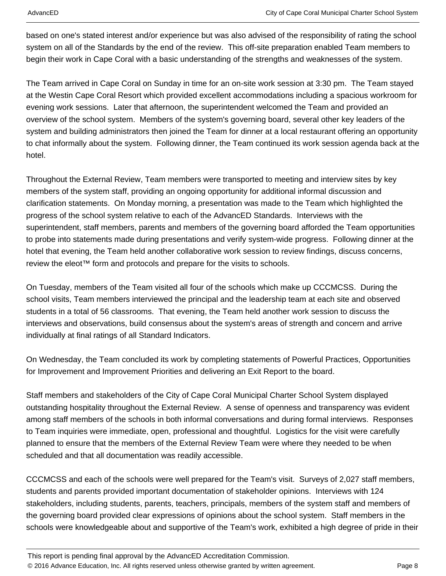based on one's stated interest and/or experience but was also advised of the responsibility of rating the school system on all of the Standards by the end of the review. This off-site preparation enabled Team members to begin their work in Cape Coral with a basic understanding of the strengths and weaknesses of the system.

The Team arrived in Cape Coral on Sunday in time for an on-site work session at 3:30 pm. The Team stayed at the Westin Cape Coral Resort which provided excellent accommodations including a spacious workroom for evening work sessions. Later that afternoon, the superintendent welcomed the Team and provided an overview of the school system. Members of the system's governing board, several other key leaders of the system and building administrators then joined the Team for dinner at a local restaurant offering an opportunity to chat informally about the system. Following dinner, the Team continued its work session agenda back at the hotel.

Throughout the External Review, Team members were transported to meeting and interview sites by key members of the system staff, providing an ongoing opportunity for additional informal discussion and clarification statements. On Monday morning, a presentation was made to the Team which highlighted the progress of the school system relative to each of the AdvancED Standards. Interviews with the superintendent, staff members, parents and members of the governing board afforded the Team opportunities to probe into statements made during presentations and verify system-wide progress. Following dinner at the hotel that evening, the Team held another collaborative work session to review findings, discuss concerns, review the eleot<sup>™</sup> form and protocols and prepare for the visits to schools.

On Tuesday, members of the Team visited all four of the schools which make up CCCMCSS. During the school visits, Team members interviewed the principal and the leadership team at each site and observed students in a total of 56 classrooms. That evening, the Team held another work session to discuss the interviews and observations, build consensus about the system's areas of strength and concern and arrive individually at final ratings of all Standard Indicators.

On Wednesday, the Team concluded its work by completing statements of Powerful Practices, Opportunities for Improvement and Improvement Priorities and delivering an Exit Report to the board.

Staff members and stakeholders of the City of Cape Coral Municipal Charter School System displayed outstanding hospitality throughout the External Review. A sense of openness and transparency was evident among staff members of the schools in both informal conversations and during formal interviews. Responses to Team inquiries were immediate, open, professional and thoughtful. Logistics for the visit were carefully planned to ensure that the members of the External Review Team were where they needed to be when scheduled and that all documentation was readily accessible.

CCCMCSS and each of the schools were well prepared for the Team's visit. Surveys of 2,027 staff members, students and parents provided important documentation of stakeholder opinions. Interviews with 124 stakeholders, including students, parents, teachers, principals, members of the system staff and members of the governing board provided clear expressions of opinions about the school system. Staff members in the schools were knowledgeable about and supportive of the Team's work, exhibited a high degree of pride in their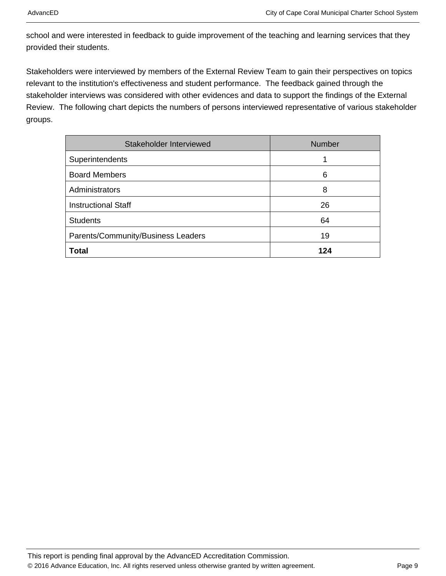school and were interested in feedback to guide improvement of the teaching and learning services that they provided their students.

Stakeholders were interviewed by members of the External Review Team to gain their perspectives on topics relevant to the institution's effectiveness and student performance. The feedback gained through the stakeholder interviews was considered with other evidences and data to support the findings of the External Review. The following chart depicts the numbers of persons interviewed representative of various stakeholder groups.

| Stakeholder Interviewed            | Number |
|------------------------------------|--------|
| Superintendents                    |        |
| <b>Board Members</b>               | 6      |
| Administrators                     | 8      |
| <b>Instructional Staff</b>         | 26     |
| <b>Students</b>                    | 64     |
| Parents/Community/Business Leaders | 19     |
| <b>Total</b>                       | 124    |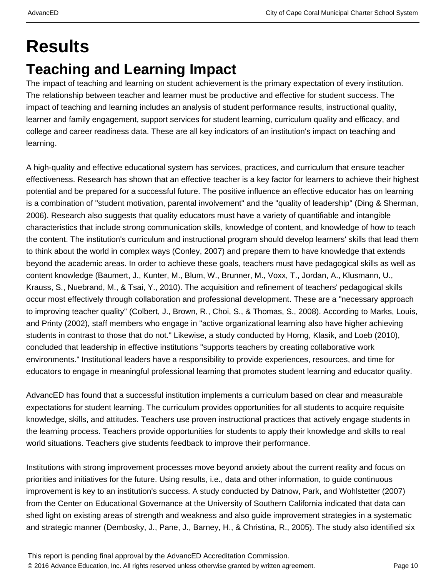# **Results Teaching and Learning Impact**

The impact of teaching and learning on student achievement is the primary expectation of every institution. The relationship between teacher and learner must be productive and effective for student success. The impact of teaching and learning includes an analysis of student performance results, instructional quality, learner and family engagement, support services for student learning, curriculum quality and efficacy, and college and career readiness data. These are all key indicators of an institution's impact on teaching and learning.

A high-quality and effective educational system has services, practices, and curriculum that ensure teacher effectiveness. Research has shown that an effective teacher is a key factor for learners to achieve their highest potential and be prepared for a successful future. The positive influence an effective educator has on learning is a combination of "student motivation, parental involvement" and the "quality of leadership" (Ding & Sherman, 2006). Research also suggests that quality educators must have a variety of quantifiable and intangible characteristics that include strong communication skills, knowledge of content, and knowledge of how to teach the content. The institution's curriculum and instructional program should develop learners' skills that lead them to think about the world in complex ways (Conley, 2007) and prepare them to have knowledge that extends beyond the academic areas. In order to achieve these goals, teachers must have pedagogical skills as well as content knowledge (Baumert, J., Kunter, M., Blum, W., Brunner, M., Voxx, T., Jordan, A., Klusmann, U., Krauss, S., Nuebrand, M., & Tsai, Y., 2010). The acquisition and refinement of teachers' pedagogical skills occur most effectively through collaboration and professional development. These are a "necessary approach to improving teacher quality" (Colbert, J., Brown, R., Choi, S., & Thomas, S., 2008). According to Marks, Louis, and Printy (2002), staff members who engage in "active organizational learning also have higher achieving students in contrast to those that do not." Likewise, a study conducted by Horng, Klasik, and Loeb (2010), concluded that leadership in effective institutions "supports teachers by creating collaborative work environments." Institutional leaders have a responsibility to provide experiences, resources, and time for educators to engage in meaningful professional learning that promotes student learning and educator quality.

AdvancED has found that a successful institution implements a curriculum based on clear and measurable expectations for student learning. The curriculum provides opportunities for all students to acquire requisite knowledge, skills, and attitudes. Teachers use proven instructional practices that actively engage students in the learning process. Teachers provide opportunities for students to apply their knowledge and skills to real world situations. Teachers give students feedback to improve their performance.

Institutions with strong improvement processes move beyond anxiety about the current reality and focus on priorities and initiatives for the future. Using results, i.e., data and other information, to guide continuous improvement is key to an institution's success. A study conducted by Datnow, Park, and Wohlstetter (2007) from the Center on Educational Governance at the University of Southern California indicated that data can shed light on existing areas of strength and weakness and also guide improvement strategies in a systematic and strategic manner (Dembosky, J., Pane, J., Barney, H., & Christina, R., 2005). The study also identified six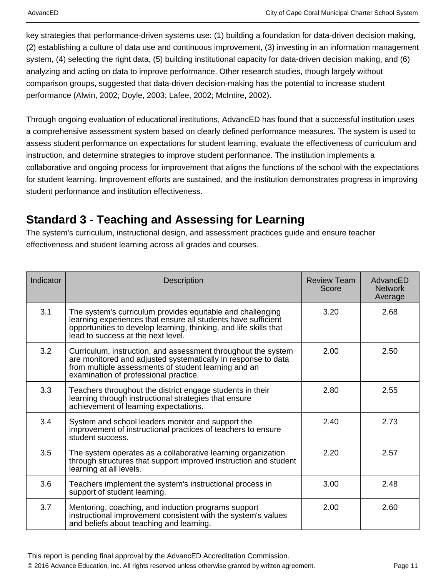key strategies that performance-driven systems use: (1) building a foundation for data-driven decision making, (2) establishing a culture of data use and continuous improvement, (3) investing in an information management system, (4) selecting the right data, (5) building institutional capacity for data-driven decision making, and (6) analyzing and acting on data to improve performance. Other research studies, though largely without comparison groups, suggested that data-driven decision-making has the potential to increase student performance (Alwin, 2002; Doyle, 2003; Lafee, 2002; McIntire, 2002).

Through ongoing evaluation of educational institutions, AdvancED has found that a successful institution uses a comprehensive assessment system based on clearly defined performance measures. The system is used to assess student performance on expectations for student learning, evaluate the effectiveness of curriculum and instruction, and determine strategies to improve student performance. The institution implements a collaborative and ongoing process for improvement that aligns the functions of the school with the expectations for student learning. Improvement efforts are sustained, and the institution demonstrates progress in improving student performance and institution effectiveness.

### **Standard 3 - Teaching and Assessing for Learning**

The system's curriculum, instructional design, and assessment practices guide and ensure teacher effectiveness and student learning across all grades and courses.

| Indicator | <b>Description</b>                                                                                                                                                                                                                     | <b>Review Team</b><br>Score | AdvancED<br><b>Network</b><br>Average |
|-----------|----------------------------------------------------------------------------------------------------------------------------------------------------------------------------------------------------------------------------------------|-----------------------------|---------------------------------------|
| 3.1       | The system's curriculum provides equitable and challenging<br>learning experiences that ensure all students have sufficient<br>opportunities to develop learning, thinking, and life skills that<br>lead to success at the next level. | 3.20                        | 2.68                                  |
| 3.2       | Curriculum, instruction, and assessment throughout the system<br>are monitored and adjusted systematically in response to data<br>from multiple assessments of student learning and an<br>examination of professional practice.        | 2.00                        | 2.50                                  |
| 3.3       | Teachers throughout the district engage students in their<br>learning through instructional strategies that ensure<br>achievement of learning expectations.                                                                            | 2.80                        | 2.55                                  |
| 3.4       | System and school leaders monitor and support the<br>improvement of instructional practices of teachers to ensure<br>student success.                                                                                                  | 2.40                        | 2.73                                  |
| 3.5       | The system operates as a collaborative learning organization<br>through structures that support improved instruction and student<br>learning at all levels.                                                                            | 2.20                        | 2.57                                  |
| 3.6       | Teachers implement the system's instructional process in<br>support of student learning.                                                                                                                                               | 3.00                        | 2.48                                  |
| 3.7       | Mentoring, coaching, and induction programs support<br>instructional improvement consistent with the system's values<br>and beliefs about teaching and learning.                                                                       | 2.00                        | 2.60                                  |

This report is pending final approval by the AdvancED Accreditation Commission.

© 2016 Advance Education, Inc. All rights reserved unless otherwise granted by written agreement. Page 11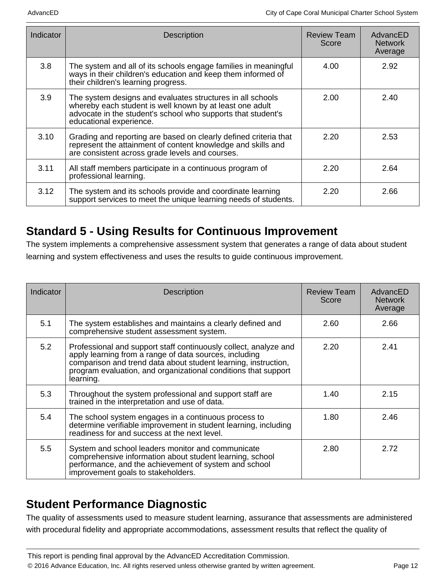| Indicator | <b>Description</b>                                                                                                                                                                                                | Review Team<br>Score | AdvancED<br><b>Network</b><br>Average |
|-----------|-------------------------------------------------------------------------------------------------------------------------------------------------------------------------------------------------------------------|----------------------|---------------------------------------|
| 3.8       | The system and all of its schools engage families in meaningful<br>ways in their children's education and keep them informed of<br>their children's learning progress.                                            | 4.00                 | 2.92                                  |
| 3.9       | The system designs and evaluates structures in all schools<br>whereby each student is well known by at least one adult<br>advocate in the student's school who supports that student's<br>educational experience. | 2.00                 | 2.40                                  |
| 3.10      | Grading and reporting are based on clearly defined criteria that<br>represent the attainment of content knowledge and skills and<br>are consistent across grade levels and courses.                               | 2.20                 | 2.53                                  |
| 3.11      | All staff members participate in a continuous program of<br>professional learning.                                                                                                                                | 2.20                 | 2.64                                  |
| 3.12      | The system and its schools provide and coordinate learning<br>support services to meet the unique learning needs of students.                                                                                     | 2.20                 | 2.66                                  |

### **Standard 5 - Using Results for Continuous Improvement**

The system implements a comprehensive assessment system that generates a range of data about student learning and system effectiveness and uses the results to guide continuous improvement.

| Indicator | <b>Description</b>                                                                                                                                                                                                                                                          | <b>Review Team</b><br>Score | AdvancED<br><b>Network</b><br>Average |
|-----------|-----------------------------------------------------------------------------------------------------------------------------------------------------------------------------------------------------------------------------------------------------------------------------|-----------------------------|---------------------------------------|
| 5.1       | The system establishes and maintains a clearly defined and<br>comprehensive student assessment system.                                                                                                                                                                      | 2.60                        | 2.66                                  |
| 5.2       | Professional and support staff continuously collect, analyze and<br>apply learning from a range of data sources, including<br>comparison and trend data about student learning, instruction,<br>program evaluation, and organizational conditions that support<br>learning. | 2.20                        | 2.41                                  |
| 5.3       | Throughout the system professional and support staff are<br>trained in the interpretation and use of data.                                                                                                                                                                  | 1.40                        | 2.15                                  |
| 5.4       | The school system engages in a continuous process to<br>determine verifiable improvement in student learning, including<br>readiness for and success at the next level.                                                                                                     | 1.80                        | 2.46                                  |
| 5.5       | System and school leaders monitor and communicate<br>comprehensive information about student learning, school<br>performance, and the achievement of system and school<br>improvement goals to stakeholders.                                                                | 2.80                        | 2.72                                  |

### **Student Performance Diagnostic**

The quality of assessments used to measure student learning, assurance that assessments are administered with procedural fidelity and appropriate accommodations, assessment results that reflect the quality of

This report is pending final approval by the AdvancED Accreditation Commission. © 2016 Advance Education, Inc. All rights reserved unless otherwise granted by written agreement. Page 12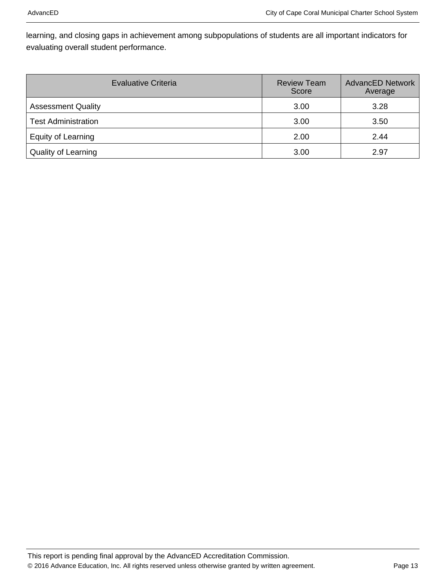learning, and closing gaps in achievement among subpopulations of students are all important indicators for evaluating overall student performance.

| Evaluative Criteria        | <b>Review Team</b><br>Score | <b>AdvancED Network</b><br>Average |
|----------------------------|-----------------------------|------------------------------------|
| <b>Assessment Quality</b>  | 3.00                        | 3.28                               |
| <b>Test Administration</b> | 3.00                        | 3.50                               |
| Equity of Learning         | 2.00                        | 2.44                               |
| <b>Quality of Learning</b> | 3.00                        | 2.97                               |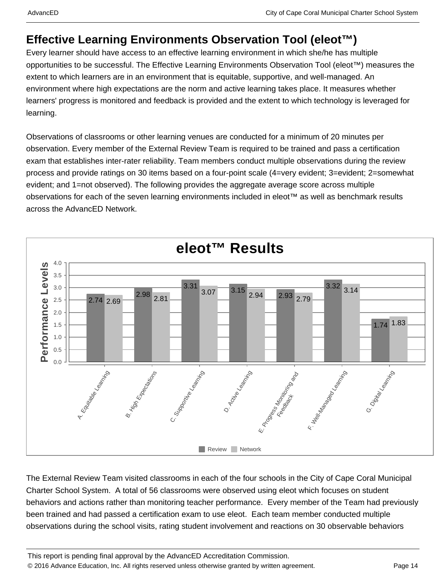### **Effective Learning Environments Observation Tool (eleot™)**

Every learner should have access to an effective learning environment in which she/he has multiple opportunities to be successful. The Effective Learning Environments Observation Tool (eleot™) measures the extent to which learners are in an environment that is equitable, supportive, and well-managed. An environment where high expectations are the norm and active learning takes place. It measures whether learners' progress is monitored and feedback is provided and the extent to which technology is leveraged for learning.

Observations of classrooms or other learning venues are conducted for a minimum of 20 minutes per observation. Every member of the External Review Team is required to be trained and pass a certification exam that establishes inter-rater reliability. Team members conduct multiple observations during the review process and provide ratings on 30 items based on a four-point scale (4=very evident; 3=evident; 2=somewhat evident; and 1=not observed). The following provides the aggregate average score across multiple observations for each of the seven learning environments included in eleot™ as well as benchmark results across the AdvancED Network.



The External Review Team visited classrooms in each of the four schools in the City of Cape Coral Municipal Charter School System. A total of 56 classrooms were observed using eleot which focuses on student behaviors and actions rather than monitoring teacher performance. Every member of the Team had previously been trained and had passed a certification exam to use eleot. Each team member conducted multiple observations during the school visits, rating student involvement and reactions on 30 observable behaviors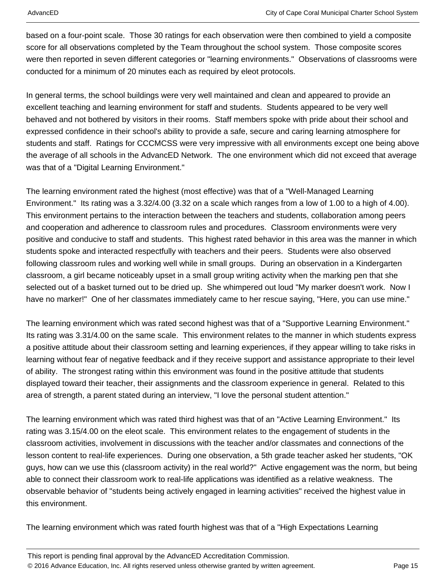based on a four-point scale. Those 30 ratings for each observation were then combined to yield a composite score for all observations completed by the Team throughout the school system. Those composite scores were then reported in seven different categories or "learning environments." Observations of classrooms were conducted for a minimum of 20 minutes each as required by eleot protocols.

In general terms, the school buildings were very well maintained and clean and appeared to provide an excellent teaching and learning environment for staff and students. Students appeared to be very well behaved and not bothered by visitors in their rooms. Staff members spoke with pride about their school and expressed confidence in their school's ability to provide a safe, secure and caring learning atmosphere for students and staff. Ratings for CCCMCSS were very impressive with all environments except one being above the average of all schools in the AdvancED Network. The one environment which did not exceed that average was that of a "Digital Learning Environment."

The learning environment rated the highest (most effective) was that of a "Well-Managed Learning Environment." Its rating was a 3.32/4.00 (3.32 on a scale which ranges from a low of 1.00 to a high of 4.00). This environment pertains to the interaction between the teachers and students, collaboration among peers and cooperation and adherence to classroom rules and procedures. Classroom environments were very positive and conducive to staff and students. This highest rated behavior in this area was the manner in which students spoke and interacted respectfully with teachers and their peers. Students were also observed following classroom rules and working well while in small groups. During an observation in a Kindergarten classroom, a girl became noticeably upset in a small group writing activity when the marking pen that she selected out of a basket turned out to be dried up. She whimpered out loud "My marker doesn't work. Now I have no marker!" One of her classmates immediately came to her rescue saying, "Here, you can use mine."

The learning environment which was rated second highest was that of a "Supportive Learning Environment." Its rating was 3.31/4.00 on the same scale. This environment relates to the manner in which students express a positive attitude about their classroom setting and learning experiences, if they appear willing to take risks in learning without fear of negative feedback and if they receive support and assistance appropriate to their level of ability. The strongest rating within this environment was found in the positive attitude that students displayed toward their teacher, their assignments and the classroom experience in general. Related to this area of strength, a parent stated during an interview, "I love the personal student attention."

The learning environment which was rated third highest was that of an "Active Learning Environment." Its rating was 3.15/4.00 on the eleot scale. This environment relates to the engagement of students in the classroom activities, involvement in discussions with the teacher and/or classmates and connections of the lesson content to real-life experiences. During one observation, a 5th grade teacher asked her students, "OK guys, how can we use this (classroom activity) in the real world?" Active engagement was the norm, but being able to connect their classroom work to real-life applications was identified as a relative weakness. The observable behavior of "students being actively engaged in learning activities" received the highest value in this environment.

The learning environment which was rated fourth highest was that of a "High Expectations Learning

This report is pending final approval by the AdvancED Accreditation Commission. © 2016 Advance Education, Inc. All rights reserved unless otherwise granted by written agreement. Page 15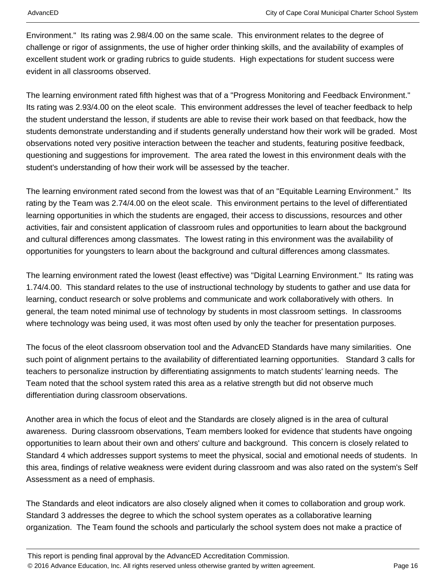Environment." Its rating was 2.98/4.00 on the same scale. This environment relates to the degree of challenge or rigor of assignments, the use of higher order thinking skills, and the availability of examples of excellent student work or grading rubrics to guide students. High expectations for student success were evident in all classrooms observed.

The learning environment rated fifth highest was that of a "Progress Monitoring and Feedback Environment." Its rating was 2.93/4.00 on the eleot scale. This environment addresses the level of teacher feedback to help the student understand the lesson, if students are able to revise their work based on that feedback, how the students demonstrate understanding and if students generally understand how their work will be graded. Most observations noted very positive interaction between the teacher and students, featuring positive feedback, questioning and suggestions for improvement. The area rated the lowest in this environment deals with the student's understanding of how their work will be assessed by the teacher.

The learning environment rated second from the lowest was that of an "Equitable Learning Environment." Its rating by the Team was 2.74/4.00 on the eleot scale. This environment pertains to the level of differentiated learning opportunities in which the students are engaged, their access to discussions, resources and other activities, fair and consistent application of classroom rules and opportunities to learn about the background and cultural differences among classmates. The lowest rating in this environment was the availability of opportunities for youngsters to learn about the background and cultural differences among classmates.

The learning environment rated the lowest (least effective) was "Digital Learning Environment." Its rating was 1.74/4.00. This standard relates to the use of instructional technology by students to gather and use data for learning, conduct research or solve problems and communicate and work collaboratively with others. In general, the team noted minimal use of technology by students in most classroom settings. In classrooms where technology was being used, it was most often used by only the teacher for presentation purposes.

The focus of the eleot classroom observation tool and the AdvancED Standards have many similarities. One such point of alignment pertains to the availability of differentiated learning opportunities. Standard 3 calls for teachers to personalize instruction by differentiating assignments to match students' learning needs. The Team noted that the school system rated this area as a relative strength but did not observe much differentiation during classroom observations.

Another area in which the focus of eleot and the Standards are closely aligned is in the area of cultural awareness. During classroom observations, Team members looked for evidence that students have ongoing opportunities to learn about their own and others' culture and background. This concern is closely related to Standard 4 which addresses support systems to meet the physical, social and emotional needs of students. In this area, findings of relative weakness were evident during classroom and was also rated on the system's Self Assessment as a need of emphasis.

The Standards and eleot indicators are also closely aligned when it comes to collaboration and group work. Standard 3 addresses the degree to which the school system operates as a collaborative learning organization. The Team found the schools and particularly the school system does not make a practice of

This report is pending final approval by the AdvancED Accreditation Commission. © 2016 Advance Education, Inc. All rights reserved unless otherwise granted by written agreement. Page 16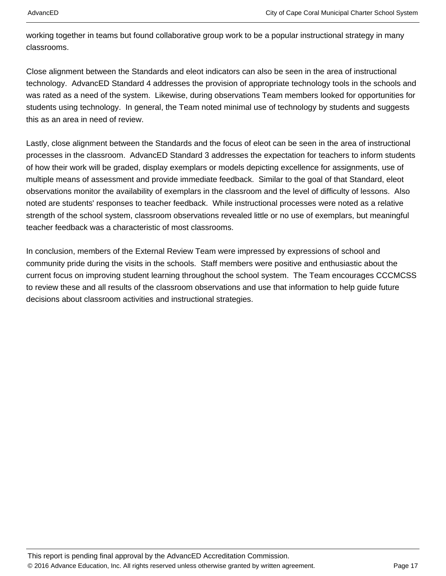working together in teams but found collaborative group work to be a popular instructional strategy in many classrooms.

Close alignment between the Standards and eleot indicators can also be seen in the area of instructional technology. AdvancED Standard 4 addresses the provision of appropriate technology tools in the schools and was rated as a need of the system. Likewise, during observations Team members looked for opportunities for students using technology. In general, the Team noted minimal use of technology by students and suggests this as an area in need of review.

Lastly, close alignment between the Standards and the focus of eleot can be seen in the area of instructional processes in the classroom. AdvancED Standard 3 addresses the expectation for teachers to inform students of how their work will be graded, display exemplars or models depicting excellence for assignments, use of multiple means of assessment and provide immediate feedback. Similar to the goal of that Standard, eleot observations monitor the availability of exemplars in the classroom and the level of difficulty of lessons. Also noted are students' responses to teacher feedback. While instructional processes were noted as a relative strength of the school system, classroom observations revealed little or no use of exemplars, but meaningful teacher feedback was a characteristic of most classrooms.

In conclusion, members of the External Review Team were impressed by expressions of school and community pride during the visits in the schools. Staff members were positive and enthusiastic about the current focus on improving student learning throughout the school system. The Team encourages CCCMCSS to review these and all results of the classroom observations and use that information to help guide future decisions about classroom activities and instructional strategies.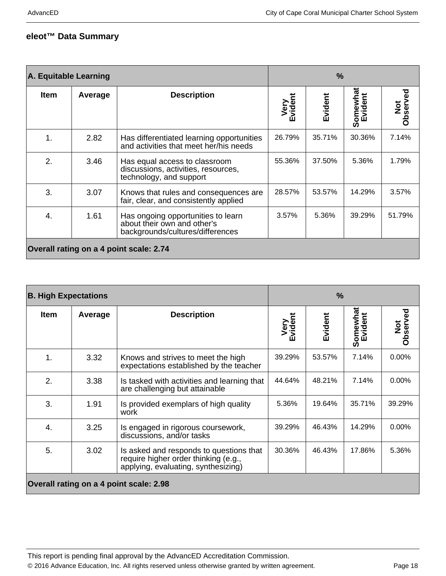### **eleot™ Data Summary**

| A. Equitable Learning                   |         | $\frac{9}{6}$                                                                                         |                 |         |                     |                           |
|-----------------------------------------|---------|-------------------------------------------------------------------------------------------------------|-----------------|---------|---------------------|---------------------------|
| <b>Item</b>                             | Average | <b>Description</b>                                                                                    | Very<br>Evident | Evident | Somewhat<br>Evident | Observed<br>$\frac{1}{2}$ |
| 1.                                      | 2.82    | Has differentiated learning opportunities<br>and activities that meet her/his needs                   | 26.79%          | 35.71%  | 30.36%              | 7.14%                     |
| 2.                                      | 3.46    | Has equal access to classroom<br>discussions, activities, resources,<br>technology, and support       | 55.36%          | 37.50%  | 5.36%               | 1.79%                     |
| 3.                                      | 3.07    | Knows that rules and consequences are<br>fair, clear, and consistently applied                        | 28.57%          | 53.57%  | 14.29%              | 3.57%                     |
| 4.                                      | 1.61    | Has ongoing opportunities to learn<br>about their own and other's<br>backgrounds/cultures/differences | 3.57%           | 5.36%   | 39.29%              | 51.79%                    |
| Overall rating on a 4 point scale: 2.74 |         |                                                                                                       |                 |         |                     |                           |

| <b>B. High Expectations</b>             |         | $\%$                                                                                                                   |                 |         |                     |                           |
|-----------------------------------------|---------|------------------------------------------------------------------------------------------------------------------------|-----------------|---------|---------------------|---------------------------|
| <b>Item</b>                             | Average | <b>Description</b>                                                                                                     | Very<br>Evident | Evident | Somewhat<br>Evident | Observed<br>$\frac{1}{2}$ |
| 1.                                      | 3.32    | Knows and strives to meet the high<br>expectations established by the teacher                                          | 39.29%          | 53.57%  | 7.14%               | 0.00%                     |
| 2.                                      | 3.38    | Is tasked with activities and learning that<br>are challenging but attainable                                          | 44.64%          | 48.21%  | 7.14%               | $0.00\%$                  |
| 3.                                      | 1.91    | Is provided exemplars of high quality<br>work                                                                          | 5.36%           | 19.64%  | 35.71%              | 39.29%                    |
| 4.                                      | 3.25    | Is engaged in rigorous coursework,<br>discussions, and/or tasks                                                        | 39.29%          | 46.43%  | 14.29%              | 0.00%                     |
| 5.                                      | 3.02    | Is asked and responds to questions that<br>require higher order thinking (e.g.,<br>applying, evaluating, synthesizing) | 30.36%          | 46.43%  | 17.86%              | 5.36%                     |
| Overall rating on a 4 point scale: 2.98 |         |                                                                                                                        |                 |         |                     |                           |

This report is pending final approval by the AdvancED Accreditation Commission. © 2016 Advance Education, Inc. All rights reserved unless otherwise granted by written agreement. Page 18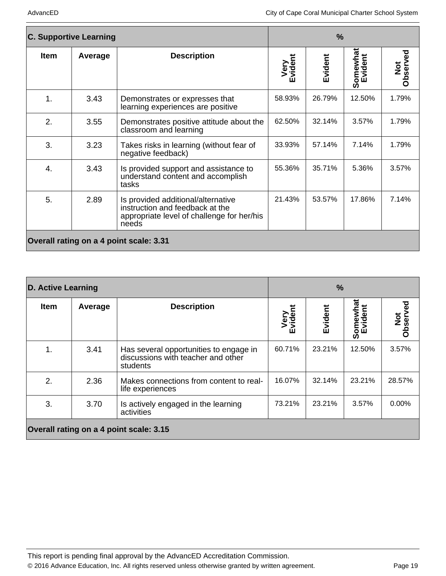| <b>C. Supportive Learning</b>           |         | $\frac{9}{6}$                                                                                                                |                 |         |                     |                 |
|-----------------------------------------|---------|------------------------------------------------------------------------------------------------------------------------------|-----------------|---------|---------------------|-----------------|
| <b>Item</b>                             | Average | <b>Description</b>                                                                                                           | Very<br>Evident | Evident | Somewhat<br>Evident | Not<br>Observed |
| $\mathbf 1$ .                           | 3.43    | Demonstrates or expresses that<br>learning experiences are positive                                                          | 58.93%          | 26.79%  | 12.50%              | 1.79%           |
| 2.                                      | 3.55    | Demonstrates positive attitude about the<br>classroom and learning                                                           | 62.50%          | 32.14%  | 3.57%               | 1.79%           |
| 3.                                      | 3.23    | Takes risks in learning (without fear of<br>negative feedback)                                                               | 33.93%          | 57.14%  | 7.14%               | 1.79%           |
| 4.                                      | 3.43    | Is provided support and assistance to<br>understand content and accomplish<br>tasks                                          | 55.36%          | 35.71%  | 5.36%               | 3.57%           |
| 5.                                      | 2.89    | Is provided additional/alternative<br>instruction and feedback at the<br>appropriate level of challenge for her/his<br>needs | 21.43%          | 53.57%  | 17.86%              | 7.14%           |
| Overall rating on a 4 point scale: 3.31 |         |                                                                                                                              |                 |         |                     |                 |

|                                         | <b>D. Active Learning</b> |                                                                                          | $\frac{9}{6}$       |         |                     |                 |
|-----------------------------------------|---------------------------|------------------------------------------------------------------------------------------|---------------------|---------|---------------------|-----------------|
| <b>Item</b>                             | Average                   | <b>Description</b>                                                                       | Very<br>vident<br>Ŵ | Evident | Somewhat<br>Evident | Not<br>Observed |
| 1.                                      | 3.41                      | Has several opportunities to engage in<br>discussions with teacher and other<br>students | 60.71%              | 23.21%  | 12.50%              | 3.57%           |
| 2.                                      | 2.36                      | Makes connections from content to real-<br>life experiences                              | 16.07%              | 32.14%  | 23.21%              | 28.57%          |
| 3.                                      | 3.70                      | Is actively engaged in the learning<br>activities                                        | 73.21%              | 23.21%  | 3.57%               | $0.00\%$        |
| Overall rating on a 4 point scale: 3.15 |                           |                                                                                          |                     |         |                     |                 |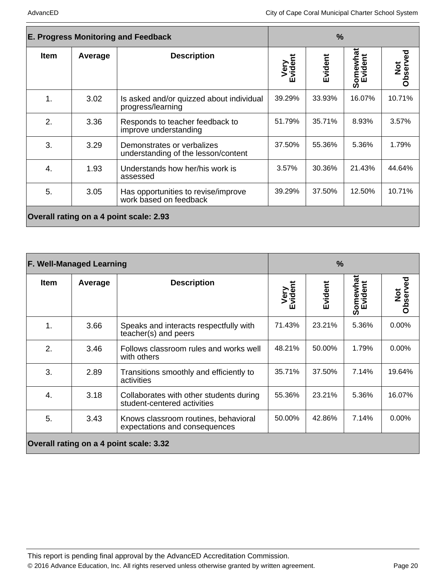| <b>E. Progress Monitoring and Feedback</b> |         | $\frac{9}{6}$                                                     |                     |         |          |                           |
|--------------------------------------------|---------|-------------------------------------------------------------------|---------------------|---------|----------|---------------------------|
| <b>Item</b>                                | Average | <b>Description</b>                                                | Very<br>vident<br>ш | Evident | Somewhat | Observed<br>$\frac{1}{2}$ |
| $\mathbf 1$ .                              | 3.02    | Is asked and/or quizzed about individual<br>progress/learning     | 39.29%              | 33.93%  | 16.07%   | 10.71%                    |
| 2.                                         | 3.36    | Responds to teacher feedback to<br>improve understanding          | 51.79%              | 35.71%  | 8.93%    | 3.57%                     |
| 3.                                         | 3.29    | Demonstrates or verbalizes<br>understanding of the lesson/content | 37.50%              | 55.36%  | 5.36%    | 1.79%                     |
| 4.                                         | 1.93    | Understands how her/his work is<br>assessed                       | 3.57%               | 30.36%  | 21.43%   | 44.64%                    |
| 5.                                         | 3.05    | Has opportunities to revise/improve<br>work based on feedback     | 39.29%              | 37.50%  | 12.50%   | 10.71%                    |
| Overall rating on a 4 point scale: 2.93    |         |                                                                   |                     |         |          |                           |

|             | <b>F. Well-Managed Learning</b> |                                                                        |                 | $\%$    |          |                 |
|-------------|---------------------------------|------------------------------------------------------------------------|-----------------|---------|----------|-----------------|
| <b>Item</b> | Average                         | <b>Description</b>                                                     | Very<br>Evident | Evident | Somewhat | Not<br>Observed |
| 1.          | 3.66                            | Speaks and interacts respectfully with<br>teacher(s) and peers         | 71.43%          | 23.21%  | 5.36%    | 0.00%           |
| 2.          | 3.46                            | Follows classroom rules and works well<br>with others                  | 48.21%          | 50.00%  | 1.79%    | $0.00\%$        |
| 3.          | 2.89                            | Transitions smoothly and efficiently to<br>activities                  | 35.71%          | 37.50%  | 7.14%    | 19.64%          |
| 4.          | 3.18                            | Collaborates with other students during<br>student-centered activities | 55.36%          | 23.21%  | 5.36%    | 16.07%          |
| 5.          | 3.43                            | Knows classroom routines, behavioral<br>expectations and consequences  | 50.00%          | 42.86%  | 7.14%    | $0.00\%$        |
|             |                                 | Overall rating on a 4 point scale: 3.32                                |                 |         |          |                 |

This report is pending final approval by the AdvancED Accreditation Commission. © 2016 Advance Education, Inc. All rights reserved unless otherwise granted by written agreement. Page 20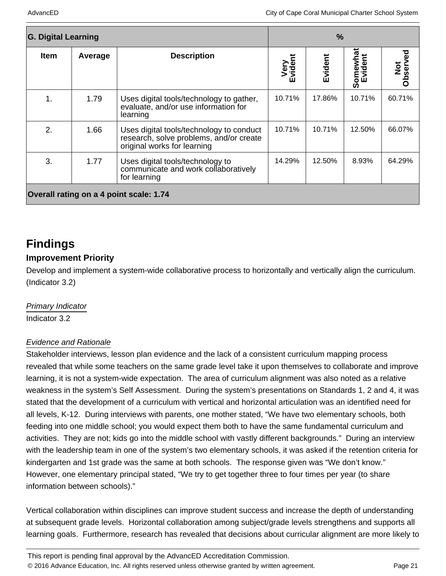| <b>G. Digital Learning</b>              |         |                                                                                                                    | $\frac{9}{6}$        |         |                     |                 |
|-----------------------------------------|---------|--------------------------------------------------------------------------------------------------------------------|----------------------|---------|---------------------|-----------------|
| <b>Item</b>                             | Average | <b>Description</b>                                                                                                 | Very<br>vident<br>ĤП | Evident | Somewhat<br>Evident | Not<br>Observed |
| 1.                                      | 1.79    | Uses digital tools/technology to gather,<br>evaluate, and/or use information for<br>learning                       | 10.71%               | 17.86%  | 10.71%              | 60.71%          |
| 2.                                      | 1.66    | Uses digital tools/technology to conduct<br>research, solve problems, and/or create<br>original works for learning | 10.71%               | 10.71%  | 12.50%              | 66.07%          |
| 3.                                      | 1.77    | Uses digital tools/technology to<br>communicate and work collaboratively<br>for learning                           | 14.29%               | 12.50%  | 8.93%               | 64.29%          |
| Overall rating on a 4 point scale: 1.74 |         |                                                                                                                    |                      |         |                     |                 |

### **Findings**

### **Improvement Priority**

Develop and implement a system-wide collaborative process to horizontally and vertically align the curriculum. (Indicator 3.2)

#### Primary Indicator

Indicator 3.2

#### Evidence and Rationale

Stakeholder interviews, lesson plan evidence and the lack of a consistent curriculum mapping process revealed that while some teachers on the same grade level take it upon themselves to collaborate and improve learning, it is not a system-wide expectation. The area of curriculum alignment was also noted as a relative weakness in the system's Self Assessment. During the system's presentations on Standards 1, 2 and 4, it was stated that the development of a curriculum with vertical and horizontal articulation was an identified need for all levels, K-12. During interviews with parents, one mother stated, "We have two elementary schools, both feeding into one middle school; you would expect them both to have the same fundamental curriculum and activities. They are not; kids go into the middle school with vastly different backgrounds." During an interview with the leadership team in one of the system's two elementary schools, it was asked if the retention criteria for kindergarten and 1st grade was the same at both schools. The response given was "We don't know." However, one elementary principal stated, "We try to get together three to four times per year (to share information between schools)."

Vertical collaboration within disciplines can improve student success and increase the depth of understanding at subsequent grade levels. Horizontal collaboration among subject/grade levels strengthens and supports all learning goals. Furthermore, research has revealed that decisions about curricular alignment are more likely to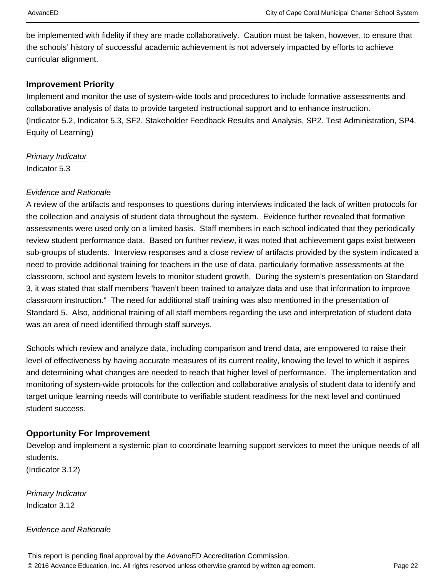be implemented with fidelity if they are made collaboratively. Caution must be taken, however, to ensure that the schools' history of successful academic achievement is not adversely impacted by efforts to achieve curricular alignment.

#### **Improvement Priority**

Implement and monitor the use of system-wide tools and procedures to include formative assessments and collaborative analysis of data to provide targeted instructional support and to enhance instruction. (Indicator 5.2, Indicator 5.3, SF2. Stakeholder Feedback Results and Analysis, SP2. Test Administration, SP4. Equity of Learning)

Primary Indicator Indicator 5.3

#### Evidence and Rationale

A review of the artifacts and responses to questions during interviews indicated the lack of written protocols for the collection and analysis of student data throughout the system. Evidence further revealed that formative assessments were used only on a limited basis. Staff members in each school indicated that they periodically review student performance data. Based on further review, it was noted that achievement gaps exist between sub-groups of students. Interview responses and a close review of artifacts provided by the system indicated a need to provide additional training for teachers in the use of data, particularly formative assessments at the classroom, school and system levels to monitor student growth. During the system's presentation on Standard 3, it was stated that staff members "haven't been trained to analyze data and use that information to improve classroom instruction." The need for additional staff training was also mentioned in the presentation of Standard 5. Also, additional training of all staff members regarding the use and interpretation of student data was an area of need identified through staff surveys.

Schools which review and analyze data, including comparison and trend data, are empowered to raise their level of effectiveness by having accurate measures of its current reality, knowing the level to which it aspires and determining what changes are needed to reach that higher level of performance. The implementation and monitoring of system-wide protocols for the collection and collaborative analysis of student data to identify and target unique learning needs will contribute to verifiable student readiness for the next level and continued student success.

#### **Opportunity For Improvement**

Develop and implement a systemic plan to coordinate learning support services to meet the unique needs of all students.

(Indicator 3.12)

Primary Indicator Indicator 3.12

Evidence and Rationale

This report is pending final approval by the AdvancED Accreditation Commission. © 2016 Advance Education, Inc. All rights reserved unless otherwise granted by written agreement. Page 22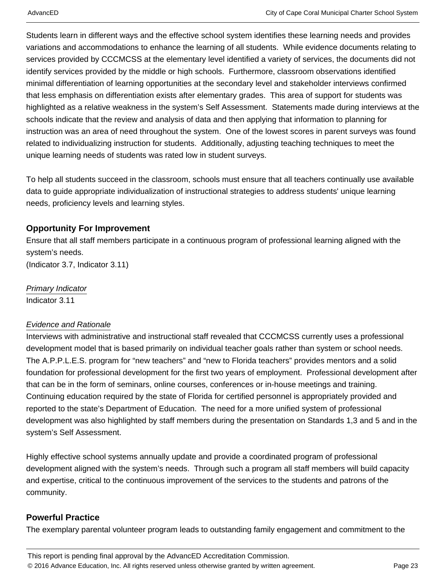Students learn in different ways and the effective school system identifies these learning needs and provides variations and accommodations to enhance the learning of all students. While evidence documents relating to services provided by CCCMCSS at the elementary level identified a variety of services, the documents did not identify services provided by the middle or high schools. Furthermore, classroom observations identified minimal differentiation of learning opportunities at the secondary level and stakeholder interviews confirmed that less emphasis on differentiation exists after elementary grades. This area of support for students was highlighted as a relative weakness in the system's Self Assessment. Statements made during interviews at the schools indicate that the review and analysis of data and then applying that information to planning for instruction was an area of need throughout the system. One of the lowest scores in parent surveys was found related to individualizing instruction for students. Additionally, adjusting teaching techniques to meet the unique learning needs of students was rated low in student surveys.

To help all students succeed in the classroom, schools must ensure that all teachers continually use available data to guide appropriate individualization of instructional strategies to address students' unique learning needs, proficiency levels and learning styles.

#### **Opportunity For Improvement**

Ensure that all staff members participate in a continuous program of professional learning aligned with the system's needs. (Indicator 3.7, Indicator 3.11)

Primary Indicator Indicator 3.11

#### Evidence and Rationale

Interviews with administrative and instructional staff revealed that CCCMCSS currently uses a professional development model that is based primarily on individual teacher goals rather than system or school needs. The A.P.P.L.E.S. program for "new teachers" and "new to Florida teachers" provides mentors and a solid foundation for professional development for the first two years of employment. Professional development after that can be in the form of seminars, online courses, conferences or in-house meetings and training. Continuing education required by the state of Florida for certified personnel is appropriately provided and reported to the state's Department of Education. The need for a more unified system of professional development was also highlighted by staff members during the presentation on Standards 1,3 and 5 and in the system's Self Assessment.

Highly effective school systems annually update and provide a coordinated program of professional development aligned with the system's needs. Through such a program all staff members will build capacity and expertise, critical to the continuous improvement of the services to the students and patrons of the community.

### **Powerful Practice**

The exemplary parental volunteer program leads to outstanding family engagement and commitment to the

This report is pending final approval by the AdvancED Accreditation Commission. © 2016 Advance Education, Inc. All rights reserved unless otherwise granted by written agreement. Page 23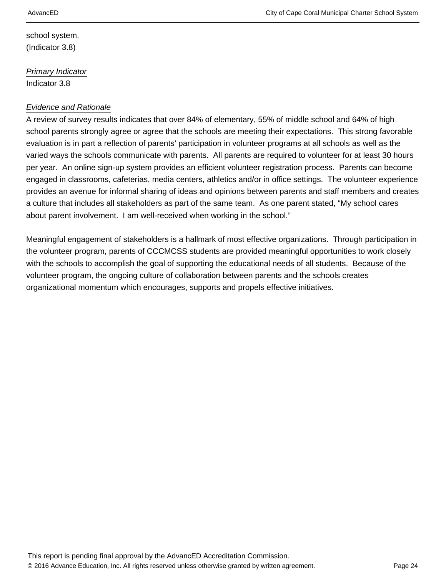school system. (Indicator 3.8)

Primary Indicator Indicator 3.8

#### Evidence and Rationale

A review of survey results indicates that over 84% of elementary, 55% of middle school and 64% of high school parents strongly agree or agree that the schools are meeting their expectations. This strong favorable evaluation is in part a reflection of parents' participation in volunteer programs at all schools as well as the varied ways the schools communicate with parents. All parents are required to volunteer for at least 30 hours per year. An online sign-up system provides an efficient volunteer registration process. Parents can become engaged in classrooms, cafeterias, media centers, athletics and/or in office settings. The volunteer experience provides an avenue for informal sharing of ideas and opinions between parents and staff members and creates a culture that includes all stakeholders as part of the same team. As one parent stated, "My school cares about parent involvement. I am well-received when working in the school."

Meaningful engagement of stakeholders is a hallmark of most effective organizations. Through participation in the volunteer program, parents of CCCMCSS students are provided meaningful opportunities to work closely with the schools to accomplish the goal of supporting the educational needs of all students. Because of the volunteer program, the ongoing culture of collaboration between parents and the schools creates organizational momentum which encourages, supports and propels effective initiatives.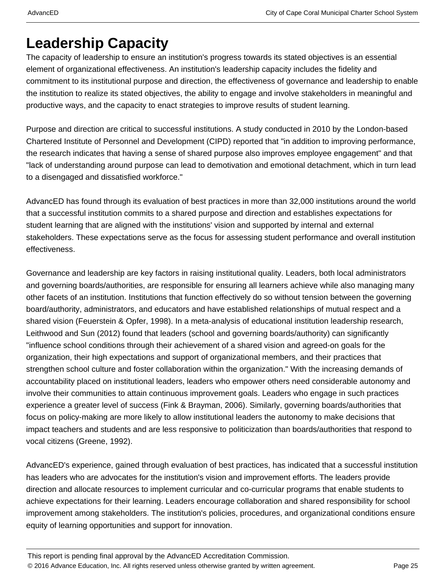## **Leadership Capacity**

The capacity of leadership to ensure an institution's progress towards its stated objectives is an essential element of organizational effectiveness. An institution's leadership capacity includes the fidelity and commitment to its institutional purpose and direction, the effectiveness of governance and leadership to enable the institution to realize its stated objectives, the ability to engage and involve stakeholders in meaningful and productive ways, and the capacity to enact strategies to improve results of student learning.

Purpose and direction are critical to successful institutions. A study conducted in 2010 by the London-based Chartered Institute of Personnel and Development (CIPD) reported that "in addition to improving performance, the research indicates that having a sense of shared purpose also improves employee engagement" and that "lack of understanding around purpose can lead to demotivation and emotional detachment, which in turn lead to a disengaged and dissatisfied workforce."

AdvancED has found through its evaluation of best practices in more than 32,000 institutions around the world that a successful institution commits to a shared purpose and direction and establishes expectations for student learning that are aligned with the institutions' vision and supported by internal and external stakeholders. These expectations serve as the focus for assessing student performance and overall institution effectiveness.

Governance and leadership are key factors in raising institutional quality. Leaders, both local administrators and governing boards/authorities, are responsible for ensuring all learners achieve while also managing many other facets of an institution. Institutions that function effectively do so without tension between the governing board/authority, administrators, and educators and have established relationships of mutual respect and a shared vision (Feuerstein & Opfer, 1998). In a meta-analysis of educational institution leadership research, Leithwood and Sun (2012) found that leaders (school and governing boards/authority) can significantly "influence school conditions through their achievement of a shared vision and agreed-on goals for the organization, their high expectations and support of organizational members, and their practices that strengthen school culture and foster collaboration within the organization." With the increasing demands of accountability placed on institutional leaders, leaders who empower others need considerable autonomy and involve their communities to attain continuous improvement goals. Leaders who engage in such practices experience a greater level of success (Fink & Brayman, 2006). Similarly, governing boards/authorities that focus on policy-making are more likely to allow institutional leaders the autonomy to make decisions that impact teachers and students and are less responsive to politicization than boards/authorities that respond to vocal citizens (Greene, 1992).

AdvancED's experience, gained through evaluation of best practices, has indicated that a successful institution has leaders who are advocates for the institution's vision and improvement efforts. The leaders provide direction and allocate resources to implement curricular and co-curricular programs that enable students to achieve expectations for their learning. Leaders encourage collaboration and shared responsibility for school improvement among stakeholders. The institution's policies, procedures, and organizational conditions ensure equity of learning opportunities and support for innovation.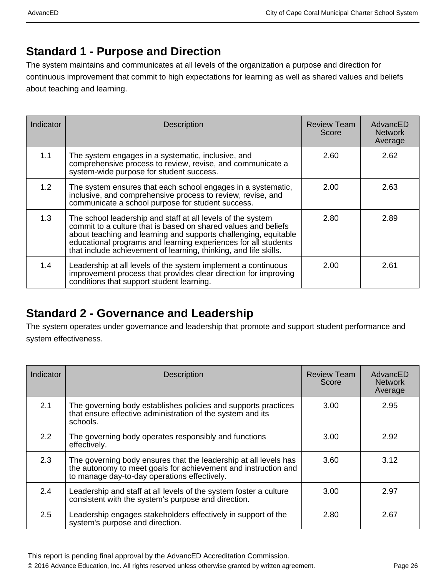### **Standard 1 - Purpose and Direction**

The system maintains and communicates at all levels of the organization a purpose and direction for continuous improvement that commit to high expectations for learning as well as shared values and beliefs about teaching and learning.

| Indicator | <b>Description</b>                                                                                                                                                                                                                                                                                                                     | <b>Review Team</b><br>Score | AdvancED<br><b>Network</b><br>Average |
|-----------|----------------------------------------------------------------------------------------------------------------------------------------------------------------------------------------------------------------------------------------------------------------------------------------------------------------------------------------|-----------------------------|---------------------------------------|
| 1.1       | The system engages in a systematic, inclusive, and<br>comprehensive process to review, revise, and communicate a<br>system-wide purpose for student success.                                                                                                                                                                           | 2.60                        | 2.62                                  |
| 1.2       | The system ensures that each school engages in a systematic,<br>inclusive, and comprehensive process to review, revise, and<br>communicate a school purpose for student success.                                                                                                                                                       | 2.00                        | 2.63                                  |
| 1.3       | The school leadership and staff at all levels of the system<br>commit to a culture that is based on shared values and beliefs<br>about teaching and learning and supports challenging, equitable<br>educational programs and learning experiences for all students<br>that include achievement of learning, thinking, and life skills. | 2.80                        | 2.89                                  |
| 1.4       | Leadership at all levels of the system implement a continuous<br>improvement process that provides clear direction for improving<br>conditions that support student learning.                                                                                                                                                          | 2.00                        | 2.61                                  |

### **Standard 2 - Governance and Leadership**

The system operates under governance and leadership that promote and support student performance and system effectiveness.

| Indicator | <b>Description</b>                                                                                                                                                                 | <b>Review Team</b><br>Score | AdvancED<br><b>Network</b><br>Average |
|-----------|------------------------------------------------------------------------------------------------------------------------------------------------------------------------------------|-----------------------------|---------------------------------------|
| 2.1       | The governing body establishes policies and supports practices<br>that ensure effective administration of the system and its<br>schools.                                           | 3.00                        | 2.95                                  |
| 2.2       | The governing body operates responsibly and functions<br>effectively.                                                                                                              | 3.00                        | 2.92                                  |
| 2.3       | The governing body ensures that the leadership at all levels has<br>the autonomy to meet goals for achievement and instruction and<br>to manage day-to-day operations effectively. | 3.60                        | 3.12                                  |
| 2.4       | Leadership and staff at all levels of the system foster a culture<br>consistent with the system's purpose and direction.                                                           | 3.00                        | 2.97                                  |
| 2.5       | Leadership engages stakeholders effectively in support of the<br>system's purpose and direction.                                                                                   | 2.80                        | 2.67                                  |

This report is pending final approval by the AdvancED Accreditation Commission.

© 2016 Advance Education, Inc. All rights reserved unless otherwise granted by written agreement. Page 26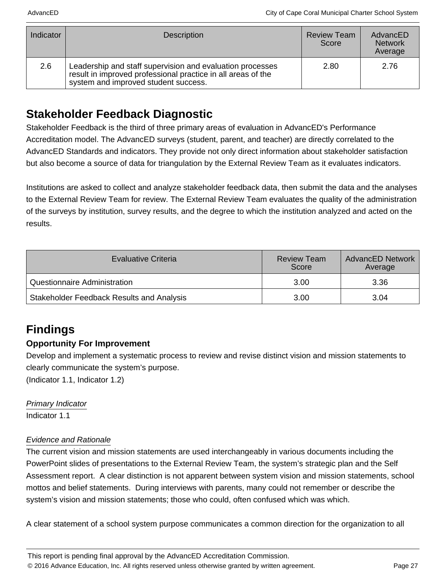| Indicator | <b>Description</b>                                                                                                                                                | <b>Review Team</b><br>Score | AdvancED<br><b>Network</b><br>Average |
|-----------|-------------------------------------------------------------------------------------------------------------------------------------------------------------------|-----------------------------|---------------------------------------|
| 2.6       | Leadership and staff supervision and evaluation processes<br>result in improved professional practice in all areas of the<br>system and improved student success. | 2.80                        | 2.76                                  |

### **Stakeholder Feedback Diagnostic**

Stakeholder Feedback is the third of three primary areas of evaluation in AdvancED's Performance Accreditation model. The AdvancED surveys (student, parent, and teacher) are directly correlated to the AdvancED Standards and indicators. They provide not only direct information about stakeholder satisfaction but also become a source of data for triangulation by the External Review Team as it evaluates indicators.

Institutions are asked to collect and analyze stakeholder feedback data, then submit the data and the analyses to the External Review Team for review. The External Review Team evaluates the quality of the administration of the surveys by institution, survey results, and the degree to which the institution analyzed and acted on the results.

| <b>Evaluative Criteria</b>                       | <b>Review Team</b><br>Score | <b>AdvancED Network</b><br>Average |
|--------------------------------------------------|-----------------------------|------------------------------------|
| Questionnaire Administration                     | 3.00                        | 3.36                               |
| <b>Stakeholder Feedback Results and Analysis</b> | 3.00                        | 3.04                               |

### **Findings**

### **Opportunity For Improvement**

Develop and implement a systematic process to review and revise distinct vision and mission statements to clearly communicate the system's purpose.

(Indicator 1.1, Indicator 1.2)

#### Primary Indicator

Indicator 1.1

#### Evidence and Rationale

The current vision and mission statements are used interchangeably in various documents including the PowerPoint slides of presentations to the External Review Team, the system's strategic plan and the Self Assessment report. A clear distinction is not apparent between system vision and mission statements, school mottos and belief statements. During interviews with parents, many could not remember or describe the system's vision and mission statements; those who could, often confused which was which.

A clear statement of a school system purpose communicates a common direction for the organization to all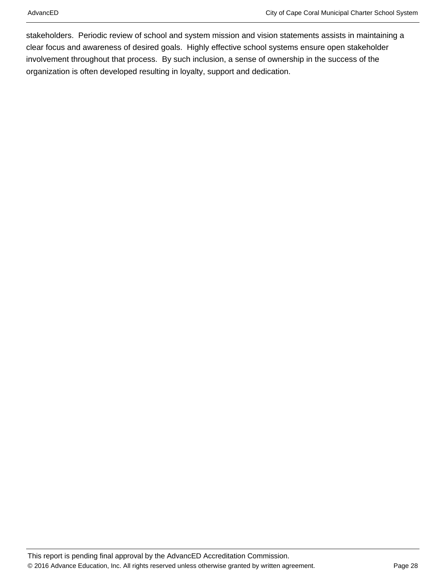stakeholders. Periodic review of school and system mission and vision statements assists in maintaining a clear focus and awareness of desired goals. Highly effective school systems ensure open stakeholder involvement throughout that process. By such inclusion, a sense of ownership in the success of the organization is often developed resulting in loyalty, support and dedication.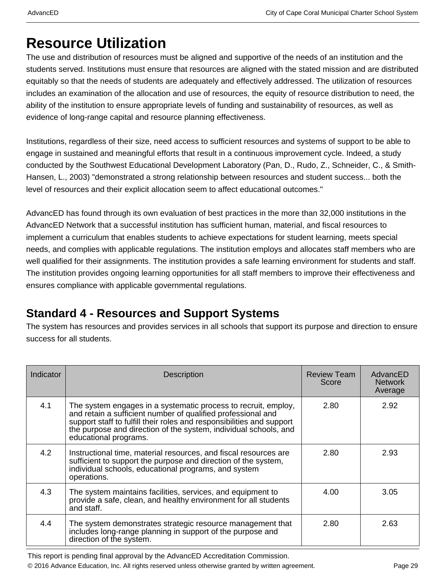## **Resource Utilization**

The use and distribution of resources must be aligned and supportive of the needs of an institution and the students served. Institutions must ensure that resources are aligned with the stated mission and are distributed equitably so that the needs of students are adequately and effectively addressed. The utilization of resources includes an examination of the allocation and use of resources, the equity of resource distribution to need, the ability of the institution to ensure appropriate levels of funding and sustainability of resources, as well as evidence of long-range capital and resource planning effectiveness.

Institutions, regardless of their size, need access to sufficient resources and systems of support to be able to engage in sustained and meaningful efforts that result in a continuous improvement cycle. Indeed, a study conducted by the Southwest Educational Development Laboratory (Pan, D., Rudo, Z., Schneider, C., & Smith-Hansen, L., 2003) "demonstrated a strong relationship between resources and student success... both the level of resources and their explicit allocation seem to affect educational outcomes."

AdvancED has found through its own evaluation of best practices in the more than 32,000 institutions in the AdvancED Network that a successful institution has sufficient human, material, and fiscal resources to implement a curriculum that enables students to achieve expectations for student learning, meets special needs, and complies with applicable regulations. The institution employs and allocates staff members who are well qualified for their assignments. The institution provides a safe learning environment for students and staff. The institution provides ongoing learning opportunities for all staff members to improve their effectiveness and ensures compliance with applicable governmental regulations.

### **Standard 4 - Resources and Support Systems**

The system has resources and provides services in all schools that support its purpose and direction to ensure success for all students.

| Indicator | <b>Description</b>                                                                                                                                                                                                                                                                                   | <b>Review Team</b><br>Score | AdvancED<br><b>Network</b><br>Average |
|-----------|------------------------------------------------------------------------------------------------------------------------------------------------------------------------------------------------------------------------------------------------------------------------------------------------------|-----------------------------|---------------------------------------|
| 4.1       | The system engages in a systematic process to recruit, employ,<br>and retain a sufficient number of qualified professional and<br>support staff to fulfill their roles and responsibilities and support<br>the purpose and direction of the system, individual schools, and<br>educational programs. | 2.80                        | 2.92                                  |
| 4.2       | Instructional time, material resources, and fiscal resources are<br>sufficient to support the purpose and direction of the system,<br>individual schools, educational programs, and system<br>operations.                                                                                            | 2.80                        | 2.93                                  |
| 4.3       | The system maintains facilities, services, and equipment to<br>provide a safe, clean, and healthy environment for all students<br>and staff.                                                                                                                                                         | 4.00                        | 3.05                                  |
| 4.4       | The system demonstrates strategic resource management that<br>includes long-range planning in support of the purpose and<br>direction of the system.                                                                                                                                                 | 2.80                        | 2.63                                  |

This report is pending final approval by the AdvancED Accreditation Commission.

© 2016 Advance Education, Inc. All rights reserved unless otherwise granted by written agreement. Page 29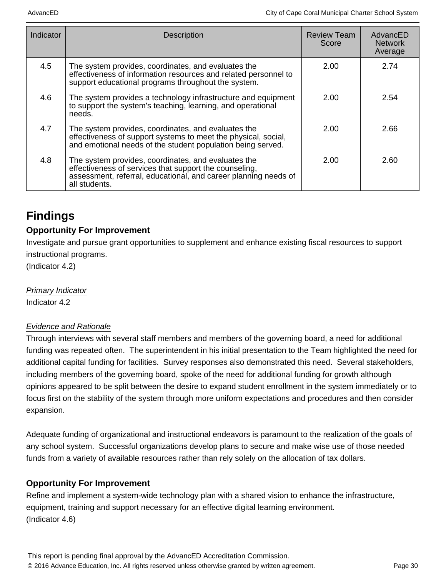| Indicator | <b>Description</b>                                                                                                                                                                                | Review Team<br>Score | AdvancED<br><b>Network</b><br>Average |
|-----------|---------------------------------------------------------------------------------------------------------------------------------------------------------------------------------------------------|----------------------|---------------------------------------|
| 4.5       | The system provides, coordinates, and evaluates the<br>effectiveness of information resources and related personnel to<br>support educational programs throughout the system.                     | 2.00                 | 2.74                                  |
| 4.6       | The system provides a technology infrastructure and equipment<br>to support the system's teaching, learning, and operational<br>needs.                                                            | 2.00                 | 2.54                                  |
| 4.7       | The system provides, coordinates, and evaluates the<br>effectiveness of support systems to meet the physical, social,<br>and emotional needs of the student population being served.              | 2.00                 | 2.66                                  |
| 4.8       | The system provides, coordinates, and evaluates the<br>effectiveness of services that support the counseling,<br>assessment, referral, educational, and career planning needs of<br>all students. | 2.00                 | 2.60                                  |

### **Findings**

### **Opportunity For Improvement**

Investigate and pursue grant opportunities to supplement and enhance existing fiscal resources to support instructional programs.

(Indicator 4.2)

Primary Indicator Indicator 4.2

#### Evidence and Rationale

Through interviews with several staff members and members of the governing board, a need for additional funding was repeated often. The superintendent in his initial presentation to the Team highlighted the need for additional capital funding for facilities. Survey responses also demonstrated this need. Several stakeholders, including members of the governing board, spoke of the need for additional funding for growth although opinions appeared to be split between the desire to expand student enrollment in the system immediately or to focus first on the stability of the system through more uniform expectations and procedures and then consider expansion.

Adequate funding of organizational and instructional endeavors is paramount to the realization of the goals of any school system. Successful organizations develop plans to secure and make wise use of those needed funds from a variety of available resources rather than rely solely on the allocation of tax dollars.

### **Opportunity For Improvement**

Refine and implement a system-wide technology plan with a shared vision to enhance the infrastructure, equipment, training and support necessary for an effective digital learning environment. (Indicator 4.6)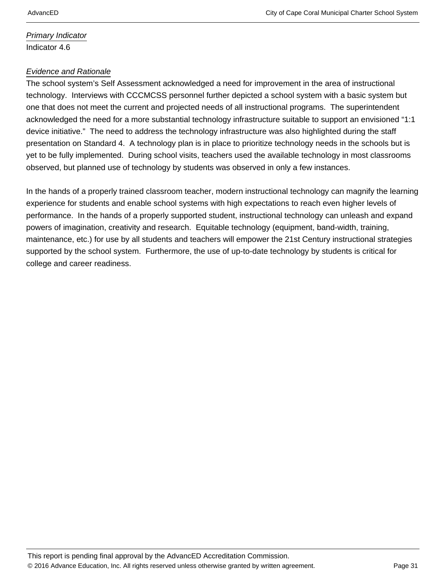Primary Indicator Indicator 4.6

#### Evidence and Rationale

The school system's Self Assessment acknowledged a need for improvement in the area of instructional technology. Interviews with CCCMCSS personnel further depicted a school system with a basic system but one that does not meet the current and projected needs of all instructional programs. The superintendent acknowledged the need for a more substantial technology infrastructure suitable to support an envisioned "1:1 device initiative." The need to address the technology infrastructure was also highlighted during the staff presentation on Standard 4. A technology plan is in place to prioritize technology needs in the schools but is yet to be fully implemented. During school visits, teachers used the available technology in most classrooms observed, but planned use of technology by students was observed in only a few instances.

In the hands of a properly trained classroom teacher, modern instructional technology can magnify the learning experience for students and enable school systems with high expectations to reach even higher levels of performance. In the hands of a properly supported student, instructional technology can unleash and expand powers of imagination, creativity and research. Equitable technology (equipment, band-width, training, maintenance, etc.) for use by all students and teachers will empower the 21st Century instructional strategies supported by the school system. Furthermore, the use of up-to-date technology by students is critical for college and career readiness.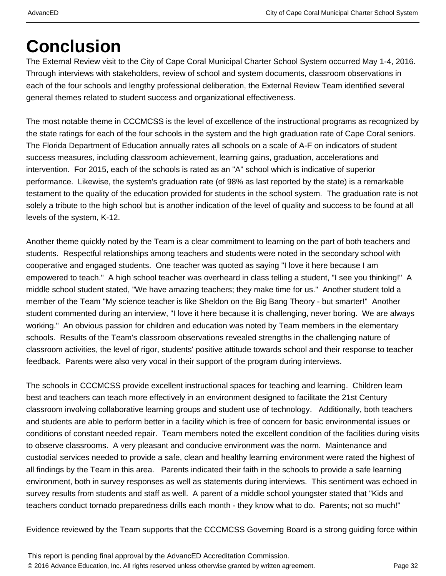# **Conclusion**

The External Review visit to the City of Cape Coral Municipal Charter School System occurred May 1-4, 2016. Through interviews with stakeholders, review of school and system documents, classroom observations in each of the four schools and lengthy professional deliberation, the External Review Team identified several general themes related to student success and organizational effectiveness.

The most notable theme in CCCMCSS is the level of excellence of the instructional programs as recognized by the state ratings for each of the four schools in the system and the high graduation rate of Cape Coral seniors. The Florida Department of Education annually rates all schools on a scale of A-F on indicators of student success measures, including classroom achievement, learning gains, graduation, accelerations and intervention. For 2015, each of the schools is rated as an "A" school which is indicative of superior performance. Likewise, the system's graduation rate (of 98% as last reported by the state) is a remarkable testament to the quality of the education provided for students in the school system. The graduation rate is not solely a tribute to the high school but is another indication of the level of quality and success to be found at all levels of the system, K-12.

Another theme quickly noted by the Team is a clear commitment to learning on the part of both teachers and students. Respectful relationships among teachers and students were noted in the secondary school with cooperative and engaged students. One teacher was quoted as saying "I love it here because I am empowered to teach." A high school teacher was overheard in class telling a student, "I see you thinking!" A middle school student stated, "We have amazing teachers; they make time for us." Another student told a member of the Team "My science teacher is like Sheldon on the Big Bang Theory - but smarter!" Another student commented during an interview, "I love it here because it is challenging, never boring. We are always working." An obvious passion for children and education was noted by Team members in the elementary schools. Results of the Team's classroom observations revealed strengths in the challenging nature of classroom activities, the level of rigor, students' positive attitude towards school and their response to teacher feedback. Parents were also very vocal in their support of the program during interviews.

The schools in CCCMCSS provide excellent instructional spaces for teaching and learning. Children learn best and teachers can teach more effectively in an environment designed to facilitate the 21st Century classroom involving collaborative learning groups and student use of technology. Additionally, both teachers and students are able to perform better in a facility which is free of concern for basic environmental issues or conditions of constant needed repair. Team members noted the excellent condition of the facilities during visits to observe classrooms. A very pleasant and conducive environment was the norm. Maintenance and custodial services needed to provide a safe, clean and healthy learning environment were rated the highest of all findings by the Team in this area. Parents indicated their faith in the schools to provide a safe learning environment, both in survey responses as well as statements during interviews. This sentiment was echoed in survey results from students and staff as well. A parent of a middle school youngster stated that "Kids and teachers conduct tornado preparedness drills each month - they know what to do. Parents; not so much!"

Evidence reviewed by the Team supports that the CCCMCSS Governing Board is a strong guiding force within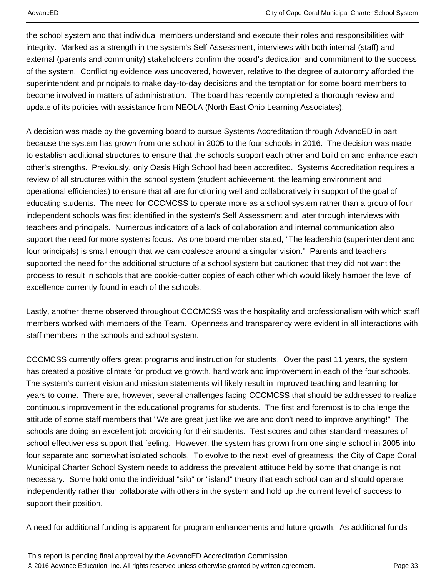the school system and that individual members understand and execute their roles and responsibilities with integrity. Marked as a strength in the system's Self Assessment, interviews with both internal (staff) and external (parents and community) stakeholders confirm the board's dedication and commitment to the success of the system. Conflicting evidence was uncovered, however, relative to the degree of autonomy afforded the superintendent and principals to make day-to-day decisions and the temptation for some board members to become involved in matters of administration. The board has recently completed a thorough review and update of its policies with assistance from NEOLA (North East Ohio Learning Associates).

A decision was made by the governing board to pursue Systems Accreditation through AdvancED in part because the system has grown from one school in 2005 to the four schools in 2016. The decision was made to establish additional structures to ensure that the schools support each other and build on and enhance each other's strengths. Previously, only Oasis High School had been accredited. Systems Accreditation requires a review of all structures within the school system (student achievement, the learning environment and operational efficiencies) to ensure that all are functioning well and collaboratively in support of the goal of educating students. The need for CCCMCSS to operate more as a school system rather than a group of four independent schools was first identified in the system's Self Assessment and later through interviews with teachers and principals. Numerous indicators of a lack of collaboration and internal communication also support the need for more systems focus. As one board member stated, "The leadership (superintendent and four principals) is small enough that we can coalesce around a singular vision." Parents and teachers supported the need for the additional structure of a school system but cautioned that they did not want the process to result in schools that are cookie-cutter copies of each other which would likely hamper the level of excellence currently found in each of the schools.

Lastly, another theme observed throughout CCCMCSS was the hospitality and professionalism with which staff members worked with members of the Team. Openness and transparency were evident in all interactions with staff members in the schools and school system.

CCCMCSS currently offers great programs and instruction for students. Over the past 11 years, the system has created a positive climate for productive growth, hard work and improvement in each of the four schools. The system's current vision and mission statements will likely result in improved teaching and learning for years to come. There are, however, several challenges facing CCCMCSS that should be addressed to realize continuous improvement in the educational programs for students. The first and foremost is to challenge the attitude of some staff members that "We are great just like we are and don't need to improve anything!" The schools are doing an excellent job providing for their students. Test scores and other standard measures of school effectiveness support that feeling. However, the system has grown from one single school in 2005 into four separate and somewhat isolated schools. To evolve to the next level of greatness, the City of Cape Coral Municipal Charter School System needs to address the prevalent attitude held by some that change is not necessary. Some hold onto the individual "silo" or "island" theory that each school can and should operate independently rather than collaborate with others in the system and hold up the current level of success to support their position.

A need for additional funding is apparent for program enhancements and future growth. As additional funds

This report is pending final approval by the AdvancED Accreditation Commission. © 2016 Advance Education, Inc. All rights reserved unless otherwise granted by written agreement. Page 33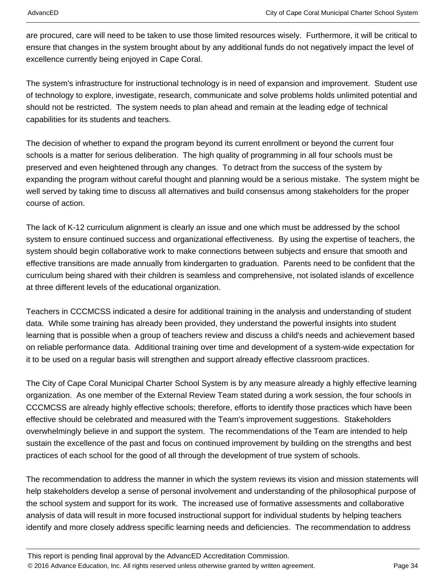are procured, care will need to be taken to use those limited resources wisely. Furthermore, it will be critical to ensure that changes in the system brought about by any additional funds do not negatively impact the level of excellence currently being enjoyed in Cape Coral.

The system's infrastructure for instructional technology is in need of expansion and improvement. Student use of technology to explore, investigate, research, communicate and solve problems holds unlimited potential and should not be restricted. The system needs to plan ahead and remain at the leading edge of technical capabilities for its students and teachers.

The decision of whether to expand the program beyond its current enrollment or beyond the current four schools is a matter for serious deliberation. The high quality of programming in all four schools must be preserved and even heightened through any changes. To detract from the success of the system by expanding the program without careful thought and planning would be a serious mistake. The system might be well served by taking time to discuss all alternatives and build consensus among stakeholders for the proper course of action.

The lack of K-12 curriculum alignment is clearly an issue and one which must be addressed by the school system to ensure continued success and organizational effectiveness. By using the expertise of teachers, the system should begin collaborative work to make connections between subjects and ensure that smooth and effective transitions are made annually from kindergarten to graduation. Parents need to be confident that the curriculum being shared with their children is seamless and comprehensive, not isolated islands of excellence at three different levels of the educational organization.

Teachers in CCCMCSS indicated a desire for additional training in the analysis and understanding of student data. While some training has already been provided, they understand the powerful insights into student learning that is possible when a group of teachers review and discuss a child's needs and achievement based on reliable performance data. Additional training over time and development of a system-wide expectation for it to be used on a regular basis will strengthen and support already effective classroom practices.

The City of Cape Coral Municipal Charter School System is by any measure already a highly effective learning organization. As one member of the External Review Team stated during a work session, the four schools in CCCMCSS are already highly effective schools; therefore, efforts to identify those practices which have been effective should be celebrated and measured with the Team's improvement suggestions. Stakeholders overwhelmingly believe in and support the system. The recommendations of the Team are intended to help sustain the excellence of the past and focus on continued improvement by building on the strengths and best practices of each school for the good of all through the development of true system of schools.

The recommendation to address the manner in which the system reviews its vision and mission statements will help stakeholders develop a sense of personal involvement and understanding of the philosophical purpose of the school system and support for its work. The increased use of formative assessments and collaborative analysis of data will result in more focused instructional support for individual students by helping teachers identify and more closely address specific learning needs and deficiencies. The recommendation to address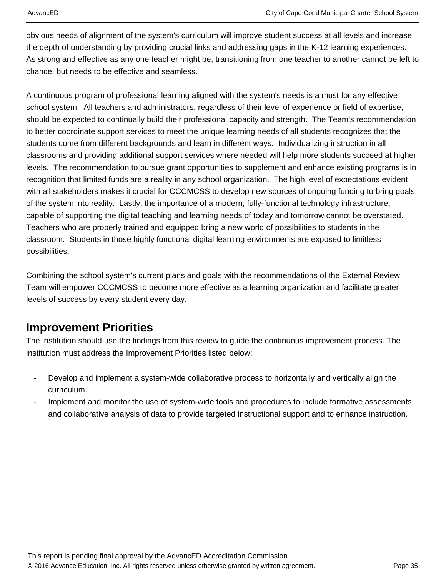obvious needs of alignment of the system's curriculum will improve student success at all levels and increase the depth of understanding by providing crucial links and addressing gaps in the K-12 learning experiences. As strong and effective as any one teacher might be, transitioning from one teacher to another cannot be left to chance, but needs to be effective and seamless.

A continuous program of professional learning aligned with the system's needs is a must for any effective school system. All teachers and administrators, regardless of their level of experience or field of expertise, should be expected to continually build their professional capacity and strength. The Team's recommendation to better coordinate support services to meet the unique learning needs of all students recognizes that the students come from different backgrounds and learn in different ways. Individualizing instruction in all classrooms and providing additional support services where needed will help more students succeed at higher levels. The recommendation to pursue grant opportunities to supplement and enhance existing programs is in recognition that limited funds are a reality in any school organization. The high level of expectations evident with all stakeholders makes it crucial for CCCMCSS to develop new sources of ongoing funding to bring goals of the system into reality. Lastly, the importance of a modern, fully-functional technology infrastructure, capable of supporting the digital teaching and learning needs of today and tomorrow cannot be overstated. Teachers who are properly trained and equipped bring a new world of possibilities to students in the classroom. Students in those highly functional digital learning environments are exposed to limitless possibilities.

Combining the school system's current plans and goals with the recommendations of the External Review Team will empower CCCMCSS to become more effective as a learning organization and facilitate greater levels of success by every student every day.

### **Improvement Priorities**

The institution should use the findings from this review to guide the continuous improvement process. The institution must address the Improvement Priorities listed below:

- Develop and implement a system-wide collaborative process to horizontally and vertically align the curriculum.
- Implement and monitor the use of system-wide tools and procedures to include formative assessments and collaborative analysis of data to provide targeted instructional support and to enhance instruction.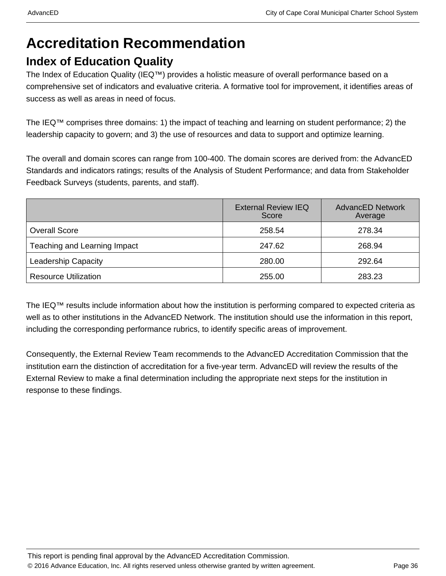## **Accreditation Recommendation**

### **Index of Education Quality**

The Index of Education Quality (IEQ™) provides a holistic measure of overall performance based on a comprehensive set of indicators and evaluative criteria. A formative tool for improvement, it identifies areas of success as well as areas in need of focus.

The IEQ™ comprises three domains: 1) the impact of teaching and learning on student performance; 2) the leadership capacity to govern; and 3) the use of resources and data to support and optimize learning.

The overall and domain scores can range from 100-400. The domain scores are derived from: the AdvancED Standards and indicators ratings; results of the Analysis of Student Performance; and data from Stakeholder Feedback Surveys (students, parents, and staff).

|                              | <b>External Review IEQ</b><br>Score | <b>AdvancED Network</b><br>Average |
|------------------------------|-------------------------------------|------------------------------------|
| <b>Overall Score</b>         | 258.54                              | 278.34                             |
| Teaching and Learning Impact | 247.62                              | 268.94                             |
| <b>Leadership Capacity</b>   | 280.00                              | 292.64                             |
| <b>Resource Utilization</b>  | 255.00                              | 283.23                             |

The IEQ™ results include information about how the institution is performing compared to expected criteria as well as to other institutions in the AdvancED Network. The institution should use the information in this report, including the corresponding performance rubrics, to identify specific areas of improvement.

Consequently, the External Review Team recommends to the AdvancED Accreditation Commission that the institution earn the distinction of accreditation for a five-year term. AdvancED will review the results of the External Review to make a final determination including the appropriate next steps for the institution in response to these findings.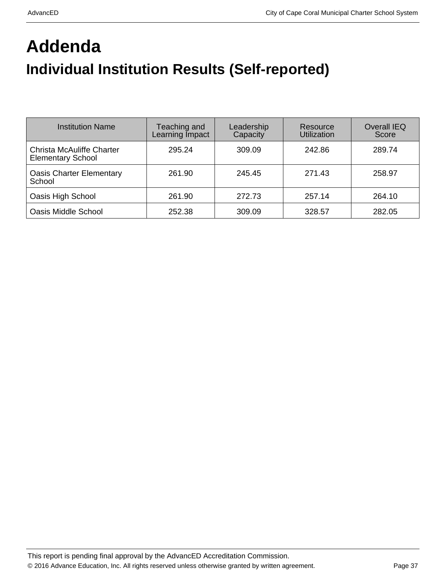# **Addenda Individual Institution Results (Self-reported)**

| <b>Institution Name</b>                                      | Teaching and<br>Learning Impact | Leadership<br>Capacity | Resource<br>Utilization | <b>Overall IEQ</b><br>Score |
|--------------------------------------------------------------|---------------------------------|------------------------|-------------------------|-----------------------------|
| <b>Christa McAuliffe Charter</b><br><b>Elementary School</b> | 295.24                          | 309.09                 | 242.86                  | 289.74                      |
| <b>Oasis Charter Elementary</b><br>School                    | 261.90                          | 245.45                 | 271.43                  | 258.97                      |
| Oasis High School                                            | 261.90                          | 272.73                 | 257.14                  | 264.10                      |
| <b>Oasis Middle School</b>                                   | 252.38                          | 309.09                 | 328.57                  | 282.05                      |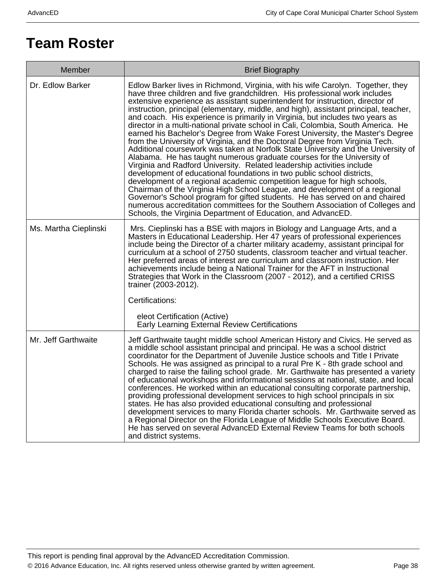## **Team Roster**

| Member                | <b>Brief Biography</b>                                                                                                                                                                                                                                                                                                                                                                                                                                                                                                                                                                                                                                                                                                                                                                                                                                                                                                                                                                                                                                                                                                                                                                                                                                                                                                                                                                    |
|-----------------------|-------------------------------------------------------------------------------------------------------------------------------------------------------------------------------------------------------------------------------------------------------------------------------------------------------------------------------------------------------------------------------------------------------------------------------------------------------------------------------------------------------------------------------------------------------------------------------------------------------------------------------------------------------------------------------------------------------------------------------------------------------------------------------------------------------------------------------------------------------------------------------------------------------------------------------------------------------------------------------------------------------------------------------------------------------------------------------------------------------------------------------------------------------------------------------------------------------------------------------------------------------------------------------------------------------------------------------------------------------------------------------------------|
| Dr. Edlow Barker      | Edlow Barker lives in Richmond, Virginia, with his wife Carolyn. Together, they<br>have three children and five grandchildren. His professional work includes<br>extensive experience as assistant superintendent for instruction, director of<br>instruction, principal (elementary, middle, and high), assistant principal, teacher,<br>and coach. His experience is primarily in Virginia, but includes two years as<br>director in a multi-national private school in Cali, Colombia, South America. He<br>earned his Bachelor's Degree from Wake Forest University, the Master's Degree<br>from the University of Virginia, and the Doctoral Degree from Virginia Tech.<br>Additional coursework was taken at Norfolk State University and the University of<br>Alabama. He has taught numerous graduate courses for the University of<br>Virginia and Radford University. Related leadership activities include<br>development of educational foundations in two public school districts,<br>development of a regional academic competition league for high schools,<br>Chairman of the Virginia High School League, and development of a regional<br>Governor's School program for gifted students. He has served on and chaired<br>numerous accreditation committees for the Southern Association of Colleges and<br>Schools, the Virginia Department of Education, and AdvancED. |
| Ms. Martha Cieplinski | Mrs. Cieplinski has a BSE with majors in Biology and Language Arts, and a<br>Masters in Educational Leadership. Her 47 years of professional experiences<br>include being the Director of a charter military academy, assistant principal for<br>curriculum at a school of 2750 students, classroom teacher and virtual teacher.<br>Her preferred areas of interest are curriculum and classroom instruction. Her<br>achievements include being a National Trainer for the AFT in Instructional<br>Strategies that Work in the Classroom (2007 - 2012), and a certified CRISS<br>trainer (2003-2012).<br>Certifications:                                                                                                                                                                                                                                                                                                                                                                                                                                                                                                                                                                                                                                                                                                                                                                  |
|                       | eleot Certification (Active)<br><b>Early Learning External Review Certifications</b>                                                                                                                                                                                                                                                                                                                                                                                                                                                                                                                                                                                                                                                                                                                                                                                                                                                                                                                                                                                                                                                                                                                                                                                                                                                                                                      |
| Mr. Jeff Garthwaite   | Jeff Garthwaite taught middle school American History and Civics. He served as<br>a middle school assistant principal and principal. He was a school district<br>coordinator for the Department of Juvenile Justice schools and Title I Private<br>Schools. He was assigned as principal to a rural Pre K - 8th grade school and<br>charged to raise the failing school grade. Mr. Garthwaite has presented a variety<br>of educational workshops and informational sessions at national, state, and local<br>conferences. He worked within an educational consulting corporate partnership,<br>providing professional development services to high school principals in six<br>states. He has also provided educational consulting and professional<br>development services to many Florida charter schools. Mr. Garthwaite served as<br>a Regional Director on the Florida League of Middle Schools Executive Board.<br>He has served on several AdvancED External Review Teams for both schools<br>and district systems.                                                                                                                                                                                                                                                                                                                                                               |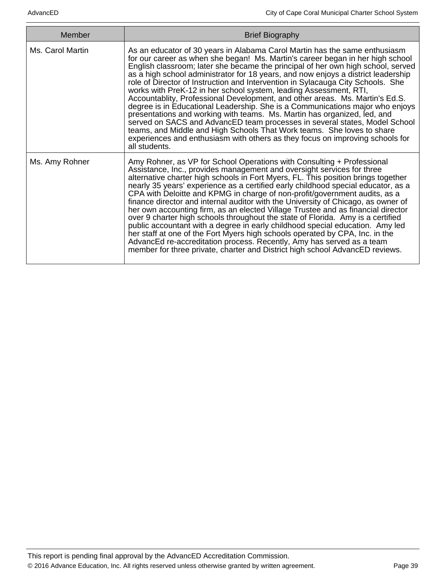| Member           | <b>Brief Biography</b>                                                                                                                                                                                                                                                                                                                                                                                                                                                                                                                                                                                                                                                                                                                                                                                                                                                                                                                                                                               |
|------------------|------------------------------------------------------------------------------------------------------------------------------------------------------------------------------------------------------------------------------------------------------------------------------------------------------------------------------------------------------------------------------------------------------------------------------------------------------------------------------------------------------------------------------------------------------------------------------------------------------------------------------------------------------------------------------------------------------------------------------------------------------------------------------------------------------------------------------------------------------------------------------------------------------------------------------------------------------------------------------------------------------|
| Ms. Carol Martin | As an educator of 30 years in Alabama Carol Martin has the same enthusiasm<br>for our career as when she began! Ms. Martin's career began in her high school<br>English classroom; later she became the principal of her own high school, served<br>as a high school administrator for 18 years, and now enjoys a district leadership<br>role of Director of Instruction and Intervention in Sylacauga City Schools. She<br>works with PreK-12 in her school system, leading Assessment, RTI,<br>Accountablity, Professional Development, and other areas. Ms. Martin's Ed.S.<br>degree is in Educational Leadership. She is a Communications major who enjoys<br>presentations and working with teams. Ms. Martin has organized, led, and<br>served on SACS and AdvancED team processes in several states, Model School<br>teams, and Middle and High Schools That Work teams. She loves to share<br>experiences and enthusiasm with others as they focus on improving schools for<br>all students. |
| Ms. Amy Rohner   | Amy Rohner, as VP for School Operations with Consulting + Professional<br>Assistance, Inc., provides management and oversight services for three<br>alternative charter high schools in Fort Myers, FL. This position brings together<br>nearly 35 years' experience as a certified early childhood special educator, as a<br>CPA with Deloitte and KPMG in charge of non-profit/government audits, as a<br>finance director and internal auditor with the University of Chicago, as owner of<br>her own accounting firm, as an elected Village Trustee and as financial director<br>over 9 charter high schools throughout the state of Florida. Amy is a certified<br>public accountant with a degree in early childhood special education. Amy led<br>her staff at one of the Fort Myers high schools operated by CPA, Inc. in the<br>AdvancEd re-accreditation process. Recently, Amy has served as a team<br>member for three private, charter and District high school AdvancED reviews.       |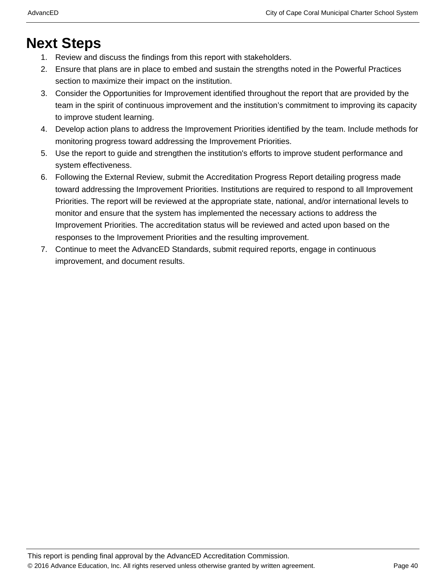## **Next Steps**

- 1. Review and discuss the findings from this report with stakeholders.
- 2. Ensure that plans are in place to embed and sustain the strengths noted in the Powerful Practices section to maximize their impact on the institution.
- 3. Consider the Opportunities for Improvement identified throughout the report that are provided by the team in the spirit of continuous improvement and the institution's commitment to improving its capacity to improve student learning.
- 4. Develop action plans to address the Improvement Priorities identified by the team. Include methods for monitoring progress toward addressing the Improvement Priorities.
- 5. Use the report to guide and strengthen the institution's efforts to improve student performance and system effectiveness.
- 6. Following the External Review, submit the Accreditation Progress Report detailing progress made toward addressing the Improvement Priorities. Institutions are required to respond to all Improvement Priorities. The report will be reviewed at the appropriate state, national, and/or international levels to monitor and ensure that the system has implemented the necessary actions to address the Improvement Priorities. The accreditation status will be reviewed and acted upon based on the responses to the Improvement Priorities and the resulting improvement.
- 7. Continue to meet the AdvancED Standards, submit required reports, engage in continuous improvement, and document results.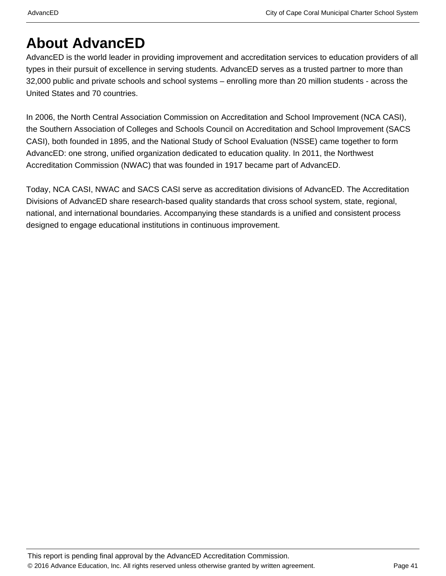## **About AdvancED**

AdvancED is the world leader in providing improvement and accreditation services to education providers of all types in their pursuit of excellence in serving students. AdvancED serves as a trusted partner to more than 32,000 public and private schools and school systems – enrolling more than 20 million students - across the United States and 70 countries.

In 2006, the North Central Association Commission on Accreditation and School Improvement (NCA CASI), the Southern Association of Colleges and Schools Council on Accreditation and School Improvement (SACS CASI), both founded in 1895, and the National Study of School Evaluation (NSSE) came together to form AdvancED: one strong, unified organization dedicated to education quality. In 2011, the Northwest Accreditation Commission (NWAC) that was founded in 1917 became part of AdvancED.

Today, NCA CASI, NWAC and SACS CASI serve as accreditation divisions of AdvancED. The Accreditation Divisions of AdvancED share research-based quality standards that cross school system, state, regional, national, and international boundaries. Accompanying these standards is a unified and consistent process designed to engage educational institutions in continuous improvement.